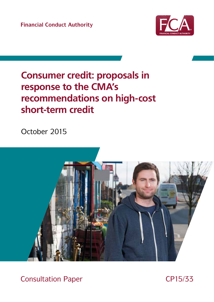**Financial Conduct Authority** 



# **Consumer credit: proposals in** response to the CMA's recommendations on high-cost short-term credit

October 2015



**Consultation Paper** 

CP15/33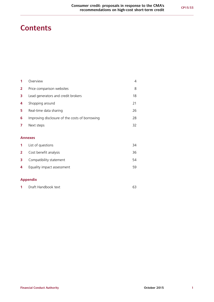# **Contents**

|              | Overview                                       | 4  |
|--------------|------------------------------------------------|----|
| $\mathbf{2}$ | Price comparison websites                      | 8  |
| 3            | Lead generators and credit brokers             | 18 |
| 4            | Shopping around                                | 21 |
| 5            | Real-time data sharing                         | 26 |
| 6            | Improving disclosure of the costs of borrowing | 28 |
| 7            | Next steps                                     | 32 |
|              |                                                |    |
|              | <b>Annexes</b>                                 |    |
|              | List of questions                              | 34 |
|              |                                                |    |

|   | <b>2</b> Cost benefit analysis   | 36 |
|---|----------------------------------|----|
|   | <b>3</b> Compatibility statement | 54 |
| 4 | Equality impact assessment       | 59 |

### **[Appendix](#page-64-0)**

| Draft Handbook text |  |
|---------------------|--|
|                     |  |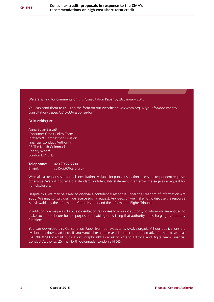We are asking for comments on this Consultation Paper by 28 January 2016.

You can send them to us using the form on our website at: [www.fca.org.uk/your-fca/documents/](http://www.fca.org.uk/your-fca/documents/consultation-papers/cp15-06-response-form) [consultation-papers/cp15-33](http://www.fca.org.uk/your-fca/documents/consultation-papers/cp15-06-response-form)-response-form.

Or in writing to:

Anna Solar-Bassett Consumer Credit Policy Team Strategy & Competition Division Financial Conduct Authority 25 The North Colonnade Canary Wharf London E14 5HS

**Telephone:** 020 7066 6600 **Email:** cp15-3[3@fca.org.uk](mailto:anna.solar-bassett%40fca.org.uk?subject=)

We make all responses to formal consultation available for public inspection unless the respondent requests otherwise. We will not regard a standard confidentiality statement in an email message as a request for non-disclosure.

Despite this, we may be asked to disclose a confidential response under the Freedom of Information Act 2000. We may consult you if we receive such a request. Any decision we make not to disclose the response is reviewable by the Information Commissioner and the Information Rights Tribunal.

In addition, we may also disclose consultation responses to a public authority to whom we are entitled to make such a disclosure for the purpose of enabling or assisting that authority in discharging its statutory functions.

You can download this Consultation Paper from our website: [www.fca.org.uk](http://www.fca.org.uk). All our publications are available to download here. If you would like to receive this paper in an alternative format, please call 020 706 0790 or email: [publications\\_graphics@fca.org.uk](mailto:publications-graphics%40fca.org.uk?subject=) or write to: Editorial and Digital team, Financial Conduct Authority, 25 The North Colonnade, London E14 5JS.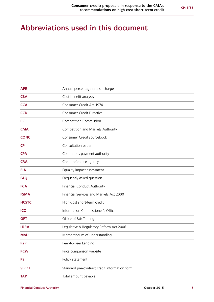# **Abbreviations used in this document**

| <b>APR</b>       | Annual percentage rate of charge              |
|------------------|-----------------------------------------------|
| <b>CBA</b>       | Cost-benefit analysis                         |
| <b>CCA</b>       | Consumer Credit Act 1974                      |
| <b>CCD</b>       | <b>Consumer Credit Directive</b>              |
| <b>CC</b>        | <b>Competition Commission</b>                 |
| <b>CMA</b>       | Competition and Markets Authority             |
| <b>CONC</b>      | Consumer Credit sourcebook                    |
| <b>CP</b>        | Consultation paper                            |
| <b>CPA</b>       | Continuous payment authority                  |
| <b>CRA</b>       | Credit reference agency                       |
| <b>EIA</b>       | Equality impact assessment                    |
| <b>FAQ</b>       | Frequently asked question                     |
| <b>FCA</b>       | <b>Financial Conduct Authority</b>            |
| <b>FSMA</b>      | Financial Services and Markets Act 2000       |
| <b>HCSTC</b>     | High-cost short-term credit                   |
| <b>ICO</b>       | Information Commissioner's Office             |
| <b>OFT</b>       | Office of Fair Trading                        |
| <b>LRRA</b>      | Legislative & Regulatory Reform Act 2006      |
| <b>MoU</b>       | Memorandum of understanding                   |
| P <sub>2</sub> P | Peer-to-Peer Lending                          |
| <b>PCW</b>       | Price comparison website                      |
| <b>PS</b>        | Policy statement                              |
| <b>SECCI</b>     | Standard pre-contract credit information form |
| <b>TAP</b>       | Total amount payable                          |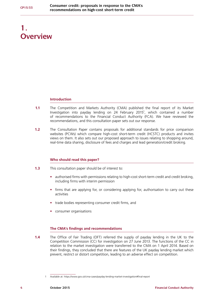# <span id="page-5-0"></span>**1. Overview**

#### **Introduction**

- **1.1** The Competition and Markets Authority (CMA) published the final report of its Market Investigation into payday lending on 24 February 2015<sup>1</sup>, which contained a number of recommendations to the Financial Conduct Authority (FCA). We have reviewed the recommendations, and this consultation paper sets out our response.
- **1.2** The Consultation Paper contains proposals for additional standards for price comparison websites (PCWs) which compare high-cost short-term credit (HCSTC) products and invites views on them. It also sets out our proposed approach to issues relating to shopping around, real-time data sharing, disclosure of fees and charges and lead generation/credit broking.

### **Who should read this paper?**

- **1.3** This consultation paper should be of interest to:
	- **•** authorised firms with permissions relating to high-cost short-term credit and credit broking, including firms with interim permission
	- firms that are applying for, or considering applying for, authorisation to carry out these activities
	- **•** trade bodies representing consumer credit firms, and
	- **•** consumer organisations

#### **The CMA's findings and recommendations**

**1.4** The Office of Fair Trading (OFT) referred the supply of payday lending in the UK to the Competition Commission (CC) for investigation on 27 June 2013. The functions of the CC in relation to the market investigation were transferred to the CMA on 1 April 2014. Based on their findings, they concluded that there are features of the UK payday lending market which prevent, restrict or distort competition, leading to an adverse effect on competition.

<sup>1</sup> Available at: <https://www.gov.uk/cma-cases/payday-lending-market-investigation#final-report>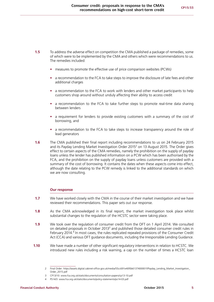- **1.5** To address the adverse effect on competition the CMA published a package of remedies, some of which were to be implemented by the CMA and others which were recommendations to us. The remedies included:
	- **•** measures to promote the effective use of price comparison websites (PCWs)
	- **•** a recommendation to the FCA to take steps to improve the disclosure of late fees and other additional charges
	- **•** a recommendation to the FCA to work with lenders and other market participants to help customers shop around without unduly affecting their ability to access credit
	- **•** a recommendation to the FCA to take further steps to promote real-time data sharing between lenders
	- **•** a requirement for lenders to provide existing customers with a summary of the cost of borrowing, and
	- **•** a recommendation to the FCA to take steps to increase transparency around the role of lead generators
- **1.6** The CMA published their final report including recommendations to us on 24 February 2015 and its Payday Lending Market Investigation Order 2015<sup>2</sup> on 13 August 2015. The Order gives effect to certain aspects of the CMA remedies, namely the prohibition on the supply of payday loans unless the lender has published information on a PCW which has been authorised by the FCA, and the prohibition on the supply of payday loans unless customers are provided with a summary of the cost of borrowing. It contains the dates when these aspects come into effect, although the date relating to the PCW remedy is linked to the additional standards on which we are now consulting.

#### **Our response**

- **1.7** We have worked closely with the CMA in the course of their market investigation and we have reviewed their recommendations. This paper sets out our response.
- **1.8** As the CMA acknowledged in its final report, the market investigation took place whilst substantial changes to the regulation of the HCSTC sector were taking place.
- **1.9** We took over the regulation of consumer credit from the OFT on 1 April 2014. We consulted on detailed proposals in October 2013<sup>3</sup> and published those detailed consumer credit rules in February 2014.<sup>4</sup> In most cases, the rules replicated repealed provisions of the Consumer Credit Act (CCA) and various OFT guidance documents, including the Irresponsible Lending Guidance.
- **1.10** We have made a number of other significant regulatory interventions in relation to HCSTC. We introduced new rules including a risk warning, a cap on the number of times a HCSTC loan

<sup>2</sup> Final Order: [https://assets.digital.cabinet-office.gov.uk/media/55cc691e40f0b6137400001f/Payday\\_Lending\\_Market\\_Investigation\\_](https://assets.digital.cabinet-office.gov.uk/media/55cc691e40f0b6137400001f/Payday_Lending_Market_Investigation_Order_2015.pdf) [Order\\_2015.pdf](https://assets.digital.cabinet-office.gov.uk/media/55cc691e40f0b6137400001f/Payday_Lending_Market_Investigation_Order_2015.pdf)

<sup>3</sup> CP13/10: [www.fca.org.uk/static/documents/consultation-papers/cp13-10.pdf](http://www.fca.org.uk/static/documents/consultation-papers/cp13-10.pdf)

<sup>4</sup> PS14/3: [www.fca.org.uk/static/documents/policy-statements/ps14-03.pdf](http://www.fca.org.uk/static/documents/policy-statements/ps14-03.pdf)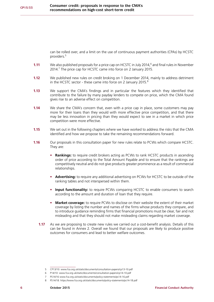can be rolled over, and a limit on the use of continuous payment authorities (CPAs) by HCSTC providers.5

- **1.11** We also published proposals for a price cap on HCSTC in July 2014,<sup>6</sup> and final rules in November 2014.<sup>7</sup> The price cap for HCSTC came into force on 2 January 2015.
- **1.12** We published new rules on credit broking on 1 December 2014, mainly to address detriment in the HCSTC sector - these came into force on 2 January 2015.<sup>8</sup>
- **1.13** We support the CMA's findings and in particular the features which they identified that contribute to the failure by many payday lenders to compete on price, which the CMA found gives rise to an adverse effect on competition.
- **1.14** We share the CMA's concern that, even with a price cap in place, some customers may pay more for their loans than they would with more effective price competition, and that there may be less innovation in pricing than they would expect to see in a market in which price competition were more effective.
- **1.15** We set out in the following chapters where we have worked to address the risks that the CMA identified and how we propose to take the remaining recommendations forward.
- **1.16** Our proposals in this consultation paper for new rules relate to PCWs which compare HCSTC. They are:
	- **Rankings:** to require credit brokers acting as PCWs to rank HCSTC products in ascending order of price according to the Total Amount Payable and to ensure that the rankings are competitively neutral and do not give products greater prominence as a result of commercial relationships.
	- **• Advertising:** to require any additional advertising on PCWs for HCSTC to be outside of the ranking tables and not interspersed within them.
	- **• Input functionality:** to require PCWs comparing HCSTC to enable consumers to search according to the amount and duration of loan that they require.
	- **• Market coverage:** to require PCWs to disclose on their website the extent of their market coverage by listing the number and names of the firms whose products they compare, and to introduce guidance reminding firms that financial promotions must be clear, fair and not misleading and that they should not make misleading claims regarding market coverage.
	- **1.17** As we are proposing to create new rules we carried out a cost-benefit analysis. Details of this can be found in Annex 2. Overall we found that our proposals are likely to produce positive outcomes for consumers and lead to better welfare outcomes.

<sup>5</sup> CP13/10: [www.fca.org.uk/static/documents/consultation-papers/cp13-10.pdf](http://www.fca.org.uk/static/documents/consultation-papers/cp13-10.pdf)

<sup>6</sup> P14/10: [www.fca.org.uk/static/documents/consultation-papers/cp14-10.pdf](http://www.fca.org.uk/static/documents/consultation-papers/cp14-10.pdf)

<sup>7</sup> PS14/16 [www.fca.org.uk/static/documents/policy-statements/ps14-16.pdf](http://www.fca.org.uk/static/documents/policy-statements/ps14-16.pdf)

<sup>8</sup> PS14/18: <https://www.fca.org.uk/static/documents/policy-statements/ps14-18.pdf>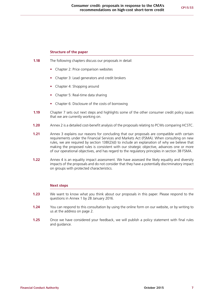#### **Structure of the paper**

- **1.18** The following chapters discuss our proposals in detail:
	- **•** Chapter 2: Price comparison websites
	- **•** Chapter 3: Lead generators and credit brokers
	- **•** Chapter 4: Shopping around
	- **•** Chapter 5: Real-time data sharing
	- **•** Chapter 6: Disclosure of the costs of borrowing
- **1.19** Chapter 7 sets out next steps and highlights some of the other consumer credit policy issues that we are currently working on.
- **1.20** Annex 2 is a detailed cost-benefit analysis of the proposals relating to PCWs comparing HCSTC.
- **1.21** Annex 3 explains our reasons for concluding that our proposals are compatible with certain requirements under the Financial Services and Markets Act (FSMA). When consulting on new rules, we are required by section 138l(2)(d) to include an explanation of why we believe that making the proposed rules is consistent with our strategic objective, advances one or more of our operational objectives, and has regard to the regulatory principles in section 3B FSMA.
- **1.22** Annex 4 is an equality impact assessment. We have assessed the likely equality and diversity impacts of the proposals and do not consider that they have a potentially discriminatory impact on groups with protected characteristics.

#### **Next steps**

- **1.23** We want to know what you think about our proposals in this paper. Please respond to the questions in Annex 1 by 28 January 2016.
- **1.24** You can respond to this consultation by using the online form on our website, or by writing to us at the address on page 2.
- **1.25** Once we have considered your feedback, we will publish a policy statement with final rules and guidance.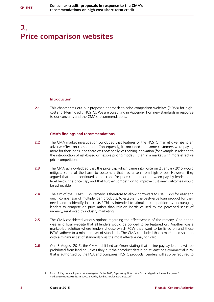# <span id="page-9-0"></span>**2. Price comparison websites**

#### **Introduction**

**2.1** This chapter sets out our proposed approach to price comparison websites (PCWs) for highcost short-term credit (HCSTC). We are consulting in Appendix 1 on new standards in response to our concerns and the CMA's recommendations.

#### **CMA's findings and recommendations**

- **2.2** The CMA market investigation concluded that features of the HCSTC market give rise to an adverse effect on competition. Consequently, it concluded that some customers were paying more for their loans, and there was potentially less pricing innovation (for example in relation to the introduction of risk-based or flexible pricing models), than in a market with more effective price competition.
- **2.3** The CMA acknowledged that the price cap which came into force on 2 January 2015 would mitigate some of the harm to customers that had arisen from high prices. However, they argued that there continued to be scope for price competition between payday lenders at a level below the price cap, and that further competition to improve customer outcomes would be achievable.
- **2.4** The aim of the CMA's PCW remedy is therefore to allow borrowers to use PCWs for easy and quick comparison of multiple loan products, to establish the best-value loan product for their needs and to identify loan costs.<sup>9</sup> This is intended to stimulate competition by encouraging lenders to compete on price rather than rely on inertia caused by the perceived sense of urgency, reinforced by industry marketing.
- **2.5** The CMA considered various options regarding the effectiveness of the remedy. One option was an official website that all lenders would be obliged to be featured on. Another was a market-led solution where lenders choose which PCW they want to be listed on and those PCWs adhere to a minimum set of standards. The CMA concluded that a market-led solution with a minimum set of standards was the most effective way forward.
- **2.6** On 13 August 2015, the CMA published an Order stating that online payday lenders will be prohibited from lending unless they put their product details on at least one commercial PCW that is authorised by the FCA and compares HCSTC products. Lenders will also be required to

<sup>9</sup> Para. 15, Payday lending market Investigation Order 2015, Explanatory Note: [https://assets.digital.cabinet-office.gov.uk/](https://assets.digital.cabinet-office.gov.uk/media/55cc61aeed915d5346000022/Payday_lending_explanatory_note.pdf) [media/55cc61aeed915d5346000022/Payday\\_lending\\_explanatory\\_note.pdf](https://assets.digital.cabinet-office.gov.uk/media/55cc61aeed915d5346000022/Payday_lending_explanatory_note.pdf)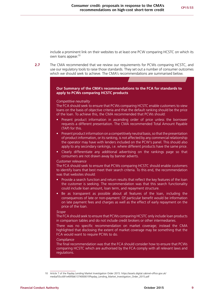include a prominent link on their websites to at least one PCW comparing HCSTC on which its own loans appear.10

**2.7** The CMA recommended that we review our requirements for PCWs comparing HCSTC, and use our regulatory tools to raise those standards. They set out a number of consumer outcomes which we should seek to achieve. The CMA's recommendations are summarised below.

#### **Our Summary of the CMA's recommendations to the FCA for standards to apply to PCWs comparing HCSTC products**

#### *Competitive neutrality*

The FCA should seek to ensure that PCWs comparing HCSTC enable customers to view loans on the basis of objective criteria and that the default ranking should be the price of the loan. To achieve this, the CMA recommended that PCWs should:

- Present product information in ascending order of price unless the borrower requests a different presentation. The CMA recommended Total Amount Payable (TAP) for this.
- Present product information on a competitively neutral basis, so that the presentation of product information, or its ranking, is not affected by any commercial relationship the operator may have with lenders included on the PCW's panel. This should also apply to any secondary rankings, i.e. where different products have the same price.
- Clearly differentiate any additional advertising on the rankings page so that consumers are not drawn away by banner adverts.

#### *Customer relevance*

The FCA should seek to ensure that PCWs comparing HCSTC should enable customers to identify loans that best meet their search criteria. To this end, the recommendation was that websites should:

- Provide a search function and return results that reflect the key features of the loan the customer is seeking. The recommendation was that this search functionality could include loan amount, loan term, and repayment structure.
- Be as transparent as possible about all features of the loan, including the consequences of late or non-payment. Of particular benefit would be information on late payment fees and charges as well as the effect of early repayment on the price of the loan.

#### *Scope*

The FCA should seek to ensure that PCWs comparing HCSTC only include loan products in comparison tables and do not include credit brokers or other intermediaries.

There was no specific recommendation on market coverage; instead the CMA highlighted that disclosing the extent of market coverage may be something that the FCA would want to require PCWs to do.

#### *Compliance*

The final recommendation was that the FCA should consider how to ensure that PCWs comparing HCSTC which are authorised by the FCA comply with all relevant laws and regulations.

<sup>10</sup> Article 7 of the Payday Lending Market Investigation Order 2015: [https://assets.digital.cabinet-office.gov.uk/](https://assets.digital.cabinet-office.gov.uk/media/55cc691e40f0b6137400001f/Payday_Lending_Market_Investigation_Order_2015.pdf) [media/55cc691e40f0b6137400001f/Payday\\_Lending\\_Market\\_Investigation\\_Order\\_2015.pdf](https://assets.digital.cabinet-office.gov.uk/media/55cc691e40f0b6137400001f/Payday_Lending_Market_Investigation_Order_2015.pdf)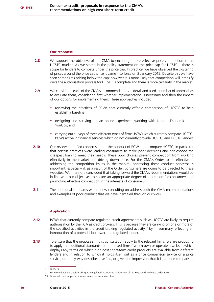#### **Our response**

- **2.8** We support the objective of the CMA to encourage more effective price competition in the HCSTC market. As we stated in the policy statement on the price cap for HCSTC.<sup>11</sup> there is scope for lenders to compete under the price cap. In practice, we have observed the clustering of prices around the price cap since it came into force on 2 January 2015. Despite this we have seen some firms pricing below the cap; however it is more likely that competition will intensify once the authorisation process for HCSTC is complete and there is more certainty in the market.
- **2.9** We considered each of the CMA's recommendations in detail and used a number of approaches to evaluate them, considering first whether implementation is necessary and then the impact of our options for implementing them. These approaches included:
	- **•** reviewing the practices of PCWs that currently offer a comparison of HCSTC to help establish a baseline
	- **•** designing and carrying out an online experiment working with London Economics and YouGov, and
	- **•** carrying out surveys of three different types of firms: PCWs which currently compare HCSTC; PCWs active in financial services which do not currently provide HCSTC; and HCSTC lenders
- **2.10** Our review identified concerns about the conduct of PCWs that compare HCSTC, in particular that certain practices were leading consumers to make poor decisions and not choose the cheapest loan to meet their needs. These poor choices prevent competition from working effectively in the market and driving down price. For the CMA's Order to be effective in addressing the competition issues in the market, addressing these conduct concerns is important, especially if, as a result of the Order, consumers are going to be directed to these websites. We therefore concluded that taking forward the CMA's recommendations would be in line with our objectives to secure an appropriate degree of protection for consumers and promoting effective competition in the interests of consumers.
- **2.11** The additional standards we are now consulting on address both the CMA recommendations and examples of poor conduct that we have identified through our work.

### **Application**

- **2.12** PCWs that currently compare regulated credit agreements such as HCSTC are likely to require authorisation by the FCA as credit brokers. This is because they are carrying on one or more of the specified activities in the credit broking regulated activity,<sup>12</sup> by, in summary, effecting an introduction of a potential borrower to a regulated lender.
- **2.13** To ensure that the proposals in this consultation apply to the relevant firms, we are proposing to apply the additional standards to authorised firms<sup>13</sup> which own or operate a website which displays any terms on which high-cost short-term credit products are available from different lenders and in relation to which it holds itself out as a price comparison service or a price service, or in any way describes itself as, or gives the impression that it is, a price comparison

<sup>11</sup> PS14/16

<sup>12</sup> For more detail on credit broking as a regulated activity see Article 36A of the Regulated Activities Order 2001

<sup>13</sup> Firms with interim permission are treated as authorised firms.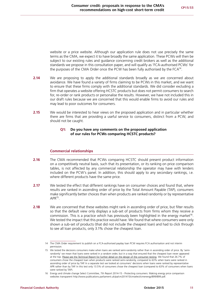website or a price website. Although our application rule does not use precisely the same terms as the CMA, we expect it to have broadly the same application. These PCWs will then be subject to our existing rules and guidance concerning credit brokers as well as the additional standards we propose in this consultation paper, and will qualify as 'FCA-authorised PCWs' for the purposes of the CMA Order once the PCW has been fully authorised by the FCA<sup>14</sup>.

- **2.14** We are proposing to apply the additional standards broadly as we are concerned about avoidance. We have found a variety of firms claiming to be PCWs in this market, and we want to ensure that these firms comply with the additional standards. We did consider excluding a firm that operates a website offering HCSTC products but does not permit consumers to search for, re-order or rank products or personalise the results. However, we have not included this in our draft rules because we are concerned that this would enable firms to avoid our rules and may lead to poor outcomes for consumers.
- **2.15** We would be interested to hear views on the proposed application and in particular whether there are firms that are providing a useful service to consumers, distinct from a PCW, and should not be caught.

### **Q1: Do you have any comments on the proposed application of our rules for PCWs comparing HCSTC products?**

#### **Commercial relationships**

- **2.16** The CMA recommended that PCWs comparing HCSTC should present product information on a competitively neutral basis, such that its presentation, or its ranking on price comparison tables, is not affected by any commercial relationship the operator may have with lenders included on the PCW's panel. In addition, this should apply to any secondary rankings, i.e. where different products have the same price.
- **2.17** We tested the effect that different rankings have on consumer choices and found that, where results are ranked in ascending order of price by the Total Amount Payable (TAP), consumers make significantly better choices than when products are ranked randomly or by representative  $APR^{15}$ .
- **2.18** We are concerned that these websites might rank in ascending order of price, but filter results so that the default view only displays a sub-set of products from firms whom they receive a commission. This is a practice which has previously been highlighted in the energy market<sup>16</sup>. We tested the impact that this practice would have. We found that where consumers were only shown a sub-set of products (that did not include the cheapest loan) and had to click through to see all loan products, only 3.1% chose the cheapest loan.

<sup>14</sup> The CMA Order requirement to publish on a FCA-authorised payday loan PCW requires FCA authorisation and not interim permission.

<sup>15</sup> We tested the decisions consumers make when loans are ranked semi-randomly rather than in ascending order of price. By 'semirandomly' we mean that loans were ranked in a random order, but in a way that ensured that the cheapest loan never appeared at the top. [Please see the Technical Report for further detail on the design of the consumer testing.](http://www.fca.org.uk/your-fca/documents/consultation-papers/cp15-33-behavioural-study) We found that 26.7% of consumers chose the cheapest loan when products were ranked semi-randomly, compared to 63% when loans were ranked in ascending order of price by TAP. In a separate test we looked at consumers' decisions when loans were ranked by representative APR rather than by TAP. In this test only 13.5% of consumers chose the cheapest loan (compared to 63% of consumers when loans were ranked by TAP).

<sup>16</sup> Energy and climate change Select Committee, 7th Report 2014-15 - Protecting consumers: Making energy price comparison websites transparent http://www.publications.parliament.uk/pa/cm201415/cmselect/cmenergy/899/899.pdf.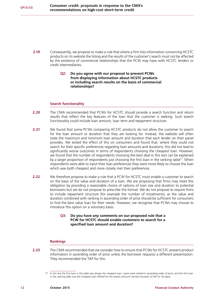- **2.19** Consequently, we propose to make a rule that where a firm lists information concerning HCSTC products on its website the listing and the results of the customer's search must not be affected by the existence of commercial relationships that the PCW may have with HCSTC lenders or credit intermediaries.
	- **Q2: Do you agree with our proposal to prevent PCWs from displaying information about HCSTC products or including search results on the basis of commercial relationships?**

#### **Search functionality**

- **2.20** The CMA recommended that PCWs for HCSTC should provide a search function and return results that reflect the key features of the loan that the customer is seeking. Such search functionality could include loan amount, loan term and repayment structure.
- **2.21** We found that some PCWs comparing HCSTC products do not allow the customer to search for the loan amount or duration that they are looking for. Instead, the website will often state the maximum and minimum loan amount and duration that each lender on their panel provides. We tested the effect of this on consumers and found that, where they could not search for their specific preferences regarding loan amounts and durations, this did not lead to significantly worse outcomes in terms of respondents choosing the cheapest loan. However, we found that the number of respondents choosing the best deal in this test can be explained by a larger proportion of respondents just choosing the first loan in the ranking table<sup>17</sup>. When respondents were able to input their loan preferences they were more likely to choose the loan which was both cheapest and more closely met their preferences.
- **2.22** We therefore propose to make a rule that a PCW for HCSTC must enable a customer to search on the basis of the value and duration of a loan. We are proposing that firms may meet this obligation by providing a reasonable choice of options of loan size and duration to potential borrowers but we do not propose to prescribe the format. We do not propose to require firms to include repayment structure (for example the number of instalments), as the value and duration combined with ranking in ascending order of price should be sufficient for consumers to find the best value loan for their needs. However, we recognise that PCWs may choose to introduce this option on a voluntary basis.

#### **Q3: Do you have any comments on our proposed rule that a PCW for HCSTC should enable customers to search for a specified loan amount and duration?**

### **Rankings**

**2.23** The CMA recommended that we consider how to ensure that PCWs for HCSTC present product information in ascending order of price unless the borrower requests a different presentation. They recommended the TAP for this.

<sup>17</sup> In this test the first loan in the table was always the cheapest loan. Loans were ranked in ascending order of price, and the first loan in the ranking table was the cheapest loan offered for the lowest amount/ shortest duration (£100 for 30 days).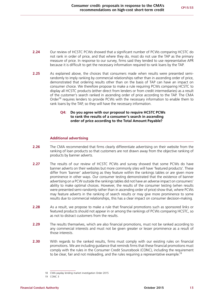- **2.24** Our review of HCSTC PCWs showed that a significant number of PCWs comparing HCSTC do not rank in order of price, and that where they do, most do not use the TAP as the primary measure of price. In response to our survey, firms said they tended to use representative APR because it is difficult to get the necessary information required to rank loans by the TAP.
- **2.25** As explained above, the choices that consumers made when results were presented semirandomly to imply ranking by commercial relationships rather than in ascending order of price, demonstrated that ordering results other than on the basis of TAP can have an impact on consumer choice. We therefore propose to make a rule requiring PCWs comparing HCSTC to display all HCSTC products (either direct from lenders or from credit intermediaries) as a result of the customer's search ranked in ascending order of price according to the TAP. The CMA Order<sup>18</sup> requires lenders to provide PCWs with the necessary information to enable them to rank loans by the TAP, so they will have the necessary information.

#### **Q4: Do you agree with our proposal to require HCSTC PCWs to rank the results of a consumer's search in ascending order of price according to the Total Amount Payable?**

### **Additional advertising**

- **2.26** The CMA recommended that firms clearly differentiate advertising on their website from the ranking of loan products so that customers are not drawn away from the objective ranking of products by banner adverts.
- **2.27** The results of our review of HCSTC PCWs and survey showed that some PCWs do have banner adverts on their websites but more commonly sites will have 'featured products'. These differ from 'banner' advertising as they feature within the rankings tables or are given more prominence in other ways. Our consumer testing demonstrated that the existence of banner advertising on a PCW outside the rankings tables did not have an adverse impact on consumers' ability to make optimal choices. However, the results of the consumer testing (when results were presented semi-randomly rather than in ascending order of price) show that, where PCWs may feature adverts in the ranking of search results or may give more prominence to some results due to commercial relationships, this has a clear impact on consumer decision-making.
- **2.28** As a result, we propose to make a rule that financial promotions such as sponsored links or featured products should not appear in or among the rankings of PCWs comparing HCSTC, so as not to distract customers from the results.
- **2.29** The results themselves, which are also financial promotions, must not be ranked according to any commercial interests and must not be given greater or lesser prominence as a result of those interests.
- **2.30** With regards to the ranked results, firms must comply with our existing rules on financial promotions. We are including guidance that reminds firms that these financial promotions must comply with the rules in the Consumer Credit Sourcebook (CONC), including the requirement to be clear, fair and not misleading, and the rules requiring a representative example.<sup>19</sup>

<sup>18</sup> CMA payday lending market investigation Order 2015

<sup>19</sup> CONC 3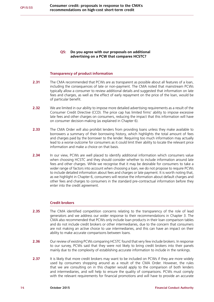**Q5: Do you agree with our proposals on additional advertising on a PCW that compares HCSTC?**

#### **Transparency of product information**

- **2.31** The CMA recommended that PCWs are as transparent as possible about all features of a loan, including the consequences of late or non-payment. The CMA noted that mainstream PCWs typically allow a consumer to review additional details and suggested that information on late fees and charges, as well as the effect of early repayment on the price of the loan, would be of particular benefit.
- **2.32** We are limited in our ability to impose more detailed advertising requirements as a result of the Consumer Credit Directive (CCD). The price cap has limited firms' ability to impose excessive late fees and other charges on consumers, reducing the impact that this information will have on consumer decision-making (as explained in Chapter 6).
- **2.33** The CMA Order will also prohibit lenders from providing loans unless they make available to borrowers a summary of their borrowing history, which highlights the total amount of fees and charges paid by the borrower to the lender. Requiring too much information may actually lead to a worse outcome for consumers as it could limit their ability to locate the relevant price information and make a choice on that basis.
- **2.34** In our view, PCWs are well placed to identify additional information which consumers value when choosing HCSTC and they should consider whether to include information around late fees and other charges. While we recognise that it may be desirable for consumers to take a wider range of factors into account when choosing a loan, we do not propose to require PCWs to include detailed information about fees and charges or late payment. It is worth noting that, as we highlight in Chapter 6, consumers will receive the information about default charges and other fees and charges to consumers in the standard pre-contractual information before they enter into the credit agreement.

#### **Credit brokers**

- **2.35** The CMA identified competition concerns relating to the transparency of the role of lead generators and we address our wider response to their recommendations in Chapter 3. The CMA also recommended that PCWs only include loan products in their loan comparison tables and do not include credit brokers or other intermediaries, due to the concern that consumers are not making an active choice to use intermediaries, and this can have an impact on their ability to make accurate comparisons between loans.
- **2.36** Our review of existing PCWs comparing HCSTC found that very few include brokers. In response to our survey, PCWs said that they were not likely to bring credit brokers into their panels mainly due to the complexity of establishing accurate information to include in the rankings.
- **2.37** It is likely that more credit brokers may want to be included on PCWs if they are more widely used by consumers shopping around as a result of the CMA Order. However, the rules that we are consulting on in this chapter would apply to the comparison of both lenders and intermediaries, and will help to ensure the quality of comparisons. PCWs must comply with the relevant requirements for financial promotions and will have to provide an accurate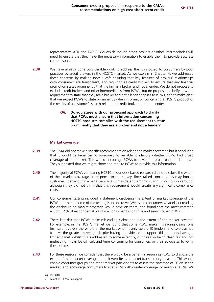representative APR and TAP. PCWs which include credit brokers or other intermediaries will need to ensure that they have the necessary information to enable them to provide accurate comparisons.

**2.38** We have already done considerable work to address the risks posed to consumers by poor practices by credit brokers in the HCSTC market. As we explain in Chapter 4, we addressed these concerns by making new rules<sup>20</sup> ensuring that key features of brokers' relationships with consumers are transparent, and requiring all credit brokers to ensure that any financial promotion states prominently that the firm is a broker and not a lender. We do not propose to exclude credit brokers and other intermediaries from PCWs, but do propose to clarify how our requirement to state that they are a broker and not a lender applies to PCWs, and to make clear that we expect PCWs to state prominently when information concerning a HCSTC product or the results of a customer's search relate to a credit broker and not a lender.

#### **Q6: Do you agree with our proposed approach to clarify that PCWs must ensure that information concerning HCSTC products complies with the requirement to state prominently that they are a broker and not a lender?**

#### **Market coverage**

- **2.39** The CMA did not make a specific recommendation relating to market coverage but it concluded that it would be beneficial to borrowers to be able to identify whether PCWs had broad coverage of the market. This would encourage PCWs to develop a broad panel of lenders.<sup>21</sup> They suggested that we might choose to require PCWs to provide this information.
- **2.40** The majority of PCWs comparing HCSTC in our desk based research did not disclose the extent of their market coverage. In response to our survey, firms raised concerns this may impact customers' behaviour in a negative way as it may deter them from using PCWs to shop around, although they did not think that this requirement would create any significant compliance costs.
- **2.41** Our consumer testing included a statement disclosing the extent of market coverage of the PCW, but the outcome of the testing is inconclusive. We asked consumers what effect reading the disclosure on market coverage would have on them, and found that the most common action (34% of respondents) was for a consumer to continue and search other PCWs.
- **2.42** There is a risk that PCWs make misleading claims about the extent of the market covered. For example, in the HCSTC market we found that some PCWs make misleading claims; one firm said it covers the whole of the market when it only covers 10 lenders, and two claimed to have the greatest coverage despite having no evidence to support this and only having a limited panel. Whilst this is addressed to some extent by our rules on being clear, fair and not misleading, it can be difficult and time consuming for consumers or their advocates to verify these claims.
- **2.43** For these reasons, we consider that there would be a benefit in requiring PCWs to disclose the extent of their market coverage on their website as a market transparency measure. This would enable consumer groups and other market participants to assess the coverage of PCWs in this market, and encourage consumers to use PCWs with greater coverage, or multiple PCWs. We

<sup>20</sup> PS 14/18

<sup>21</sup> Para 9.161, CMA Final report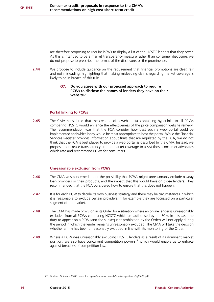are therefore proposing to require PCWs to display a list of the HCSTC lenders that they cover. As this is intended to be a market transparency measure rather than consumer disclosure, we do not propose to prescribe the format of the disclosure, or the prominence.

**2.44** We propose to include guidance on the requirement that financial promotions are clear, fair and not misleading, highlighting that making misleading claims regarding market coverage is likely to be in breach of this rule.

#### **Q7: Do you agree with our proposed approach to require PCWs to disclose the names of lenders they have on their website?**

#### **Portal linking to PCWs**

**2.45** The CMA considered that the creation of a web portal containing hyperlinks to all PCWs comparing HCSTC would enhance the effectiveness of the price comparison website remedy. The recommendation was that the FCA consider how best such a web portal could be implemented and which body would be most appropriate to host the portal. While the Financial Services Register provides information about firms that are regulated by the FCA, we do not think that the FCA is best placed to provide a web portal as described by the CMA. Instead, we propose to increase transparency around market coverage to assist those consumer advocates which rate and recommend PCWs for consumers.

#### **Unreasonable exclusion from PCWs**

- **2.46** The CMA was concerned about the possibility that PCWs might unreasonably exclude payday loan providers or their products, and the impact that this would have on those lenders. They recommended that the FCA considered how to ensure that this does not happen.
- **2.47** It is for each PCW to decide its own business strategy and there may be circumstances in which it is reasonable to exclude certain providers, if for example they are focussed on a particular segment of the market.
- **2.48** The CMA has made provision in its Order for a situation where an online lender is unreasonably excluded from all PCWs comparing HCSTC which are authorised by the FCA. In this case the duty to appear on a PCW (and the subsequent prohibition by the Order) will not apply during the period in which the lender remains unreasonably excluded. The CMA will take the decision whether a firm has been unreasonably excluded in line with its monitoring of the Order.
- **2.49** Where a PCW was unreasonably excluding HCSTC lenders as a result of its dominant market position, we also have concurrent competition powers<sup>22</sup> which would enable us to enforce against breaches of competition law.

<sup>22</sup> Finalised Guidance 15/08: [www.fca.org.uk/static/documents/finalised-guidance/fg15-08.pdf](http://www.fca.org.uk/static/documents/finalised-guidance/fg15-08.pdf)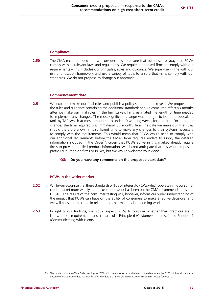#### **Compliance**

**2.50** The CMA recommended that we consider how to ensure that authorised payday loan PCWs comply with all relevant laws and regulations. We require authorised firms to comply with our requirements – this includes our principles, rules and guidance. We supervise in line with our risk prioritisation framework and use a variety of tools to ensure that firms comply with our standards. We do not propose to change our approach.

#### **Commencement date**

**2.51** We expect to make our final rules and publish a policy statement next year. We propose that the rules and guidance containing the additional standards should come into effect six months after we make our final rules. In the firm survey, firms estimated the length of time needed to implement any changes. The most significant change was thought to be the proposals to rank by TAP, which at most amounted to under 10 working weeks for one firm. For the other changes the time required was immaterial. Six months from the date we make our final rules should therefore allow firms sufficient time to make any changes to their systems necessary to comply with the requirements. This would mean that PCWs would need to comply with our additional requirements before the CMA Order requires lenders to supply the detailed information included in the Order<sup>23</sup>. Given that PCWs active in this market already require firms to provide detailed product information, we do not anticipate that this would impose a particular burden on firms or PCWs, but we would welcome your views.

### **Q8: Do you have any comments on the proposed start date?**

#### **PCWs in the wider market**

- **2.52** While we recognise that these standards will be of interest to PCWs which operate in the consumer credit market more widely, the focus of our work has been on the CMA recommendations and HCSTC. The results of the consumer testing will, however, inform our wider understanding of the impact that PCWs can have on the ability of consumers to make effective decisions, and we will consider their role in relation to other markets in upcoming work.
- **2.53** In light of our findings, we would expect PCWs to consider whether their practices are in line with our requirements and in particular Principle 6 (Customers' interests) and Principle 7 (Communicating with clients).

<sup>23</sup> The provisions of the CMA Order relating to PCWs will come into force on the later of the date when the FCA's additional standards become effective or the date 12 months after the date that the FCA makes its rules concerning PCWs for HCSTC.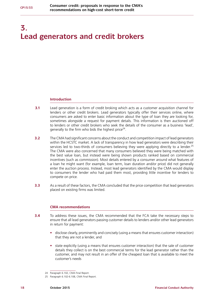# <span id="page-19-0"></span>**3. Lead generators and credit brokers**

#### **Introduction**

- **3.1** Lead generation is a form of credit broking which acts as a customer acquisition channel for lenders or other credit brokers. Lead generators typically offer their services online, where consumers are asked to enter basic information about the type of loan they are looking for, sometimes alongside a request for payment details. This information is then auctioned off to lenders or other credit brokers who seek the details of the consumer as a business 'lead', generally to the firm who bids the highest price<sup>24</sup>.
- **3.2** The CMA had significant concerns about the conduct and competition impact of lead generators within the HCSTC market. A lack of transparency in how lead generators were describing their services led to two-thirds of consumers believing they were applying directly to a lender.<sup>25</sup> The CMA were also concerned that many consumers believed they were being matched with the best value loan, but instead were being shown products ranked based on commercial incentives (such as commission). Most details entered by a consumer around what features of a loan he might want (for example, loan term, loan duration and/or price) did not generally enter the auction process. Instead, most lead generators identified by the CMA would display to consumers the lender who had paid them most, providing little incentive for lenders to compete on price.
- **3.3** As a result of these factors, the CMA concluded that the price competition that lead generators placed on existing firms was limited.

### **CMA recommendations**

- **3.4** To address these issues, the CMA recommended that the FCA take the necessary steps to ensure that all lead generators passing customer details to lenders and/or other lead generators in return for payment:
	- **•** disclose clearly, prominently and concisely (using a means that ensures customer interaction) that they are not a lender, and
	- **•** state explicitly (using a means that ensures customer interaction) that the sale of customer details they collect is on the best commercial terms for the lead generator rather than the customer, and may not result in an offer of the cheapest loan that is available to meet the customer's needs

<sup>24</sup> Paragraph 6.102, CMA Final Report.

<sup>25</sup> Paragraph 6.102-6.108, CMA Final Report.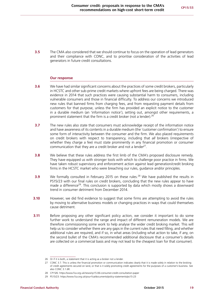**3.5** The CMA also considered that we should continue to focus on the operation of lead generators and their compliance with CONC, and to prioritise consideration of the activities of lead generators in future credit consultations.

#### **Our response**

- **3.6** We have had similar significant concerns about the practices of some credit brokers, particularly in HCSTC and other sub-prime credit markets where upfront fees are being charged. There was evidence in 2014 that such practices were causing substantial harm to consumers, including vulnerable consumers and those in financial difficulty. To address our concerns we introduced new rules that banned firms from charging fees, and from requesting payment details from customers for that purpose, unless the firm has provided an explicit notice to the customer in a durable medium (an 'information notice'), setting out, amongst other requirements, a prominent statement that the firm is a credit broker (not a lender).  $26^{\circ}$
- **3.7** The new rules also state that consumers must acknowledge receipt of the information notice and have awareness of its contents in a durable medium (the 'customer confirmation') to ensure some form of interactivity between the consumer and the firm. We also placed requirements on credit brokers with respect to transparency, including that *all* brokers (irrespective of whether they charge a fee) must state prominently in any financial promotion or consumer communication that they are a credit broker and not a lender $27$ .
- **3.8** We believe that these rules address the first limb of the CMA's proposed disclosure remedy. They have equipped us with stronger tools with which to challenge poor practice in firms. We have taken robust supervisory and enforcement action against lead generation/credit broking firms in the HCSTC market who were breaching our rules, guidance and/or principles.
- **3.9** We formally consulted in February 2015 on these rules.<sup>28</sup> We have published the results in PS15/23 with our final rules on credit brokers, concluding that the new rules appear to have made a difference<sup>29</sup>. This conclusion is supported by data which mostly shows a downward trend in consumer detriment from December 2014.
- **3.10** However, we did find evidence to suggest that some firms are attempting to avoid the rules by moving to alternative business models or changing practices in ways that could themselves cause detriment.
- **3.11** Before proposing any other significant policy action, we consider it important to do some further work to understand the range and impact of different remuneration models. We are therefore commissioning some work to help analyse the wider credit broking market. This will help us to consider whether there are any gaps in the current rules that need filling, and whether additional rules are required, and if so, in what areas (including what action to take, if any, on the second bullet of the CMA's recommended additional disclosure that a consumer's details are collected on a commercial basis and may not lead to the cheapest loan for that consumer).

<sup>26</sup> Or if it is both, a statement that it is acting as a broker not a lender.

<sup>27</sup> CONC 3.7. This is unless the financial promotion or communication indicates clearly that it is made solely in relation to the broking of credit agreements secured on land, or that is it solely promoting credit agreements for the purposes of a customer's business. See also CONC 3.1.6R.

<sup>28</sup> CP15/6:<https://www.fca.org.uk/news/cp15-06-consumer-credit-consultation-paper>

<sup>29</sup> PS15/23: <https://www.fca.org.uk/your-fca/documents/policy-statements/ps15-23>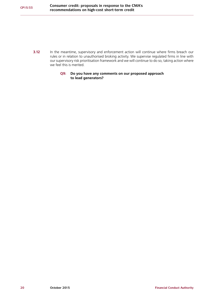- **3.12** In the meantime, supervisory and enforcement action will continue where firms breach our rules or in relation to unauthorised broking activity. We supervise regulated firms in line with our supervisory risk prioritisation framework and we will continue to do so, taking action where we feel this is merited.
	- **Q9: Do you have any comments on our proposed approach to lead generators?**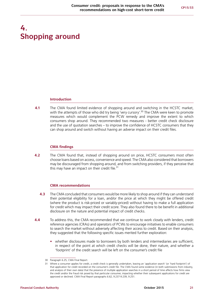# <span id="page-22-0"></span>**4. Shopping around**

#### **Introduction**

**4.1** The CMA found limited evidence of shopping around and switching in the HCSTC market, with the attempts of those who did try being 'very cursory'.<sup>30</sup> The CMA were keen to promote measures which would complement the PCW remedy and improve the extent to which consumers shop around. They recommended two measures - better credit check disclosure and the use of quotation searches – to improve the confidence of HCSTC consumers that they can shop around and switch without having an adverse impact on their credit files.

#### **CMA findings**

**4.2** The CMA found that, instead of shopping around on price, HCSTC consumers most often choose loans based on access, convenience and speed. The CMA also considered that borrowers may be discouraged from shopping around, and from switching providers, if they perceive that this may have an impact on their credit file. $31$ 

#### **CMA recommendations**

- **4.3** The CMA concluded that consumers would be more likely to shop around if they can understand their potential eligibility for a loan, and/or the price at which they might be offered credit (where the product is risk-priced or variably-priced) without having to make a full application for credit which may impact their credit score. They also found there to be benefit in additional disclosure on the nature and potential impact of credit checks.
- **4.4** To address this, the CMA recommended that we continue to work closely with lenders, credit reference agencies (CRAs) and operators of PCWs to encourage initiatives to enable consumers to search the market without adversely affecting their access to credit. Based on their analysis, they suggested that the following specific issues merited further exploration:
	- **•** whether disclosures made to borrowers by both lenders and intermediaries are sufficient, in respect of the point at which credit checks will be done, their nature, and whether a 'footprint' of the credit search will be left on the consumer's credit file

<sup>30</sup> Paragraph 6.25, CMA Final Report.

<sup>31</sup> Where a consumer applies for credit, a credit check is generally undertaken, leaving an 'application search' (or 'hard footprint') of that application for credit recorded on the consumer's credit file. The CMA found some evidence (in both submissions from industry, and analysis of their own data) that the presence of multiple application searches in a short period of time affects how firms view the credit and/or the fraud risk posed by that particular consumer, impacting whether their subsequent applications for credit are approved or declined. CMA Final Report paragraphs 6.62, 9.237-9.239, 9.251.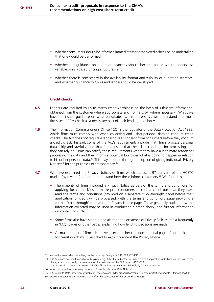- **•** whether consumers should be informed immediately prior to a credit check being undertaken that one would be performed
- **•** whether our guidance on quotation searches should become a rule where lenders use variable or risk-based pricing structures, and
- whether there is consistency in the availability, format and visibility of quotation searches, and whether guidance to CRAs and lenders could be developed

#### **Credit checks**

- **4.5** Lenders are required by us to assess creditworthiness on the basis of sufficient information, obtained from the customer where appropriate and from a CRA 'where necessary'. Whilst we have not issued guidance on what constitutes 'where necessary', we understand that most firms see a CRA check as a necessary part of their lending decision.<sup>32</sup>
- **4.6** The Information Commissioner's Office (ICO) is the regulator of the Data Protection Act 1998, which firms must comply with when collecting and using personal data to conduct credit checks. The Act does not require a lender to seek consent from consumers before they conduct a credit check. Instead, some of the Act's requirements include that firms process personal data fairly and lawfully, and that firms ensure that there is a condition for processing that they can rely on. Firms can satisfy these requirements where they have a legitimate reason for processing the data and they inform a potential borrower what is going to happen in relation to his or her personal data.<sup>33</sup> This may be done through the option of giving individuals Privacy Notices<sup>34</sup> for the purposes of transparency.<sup>35</sup>
- **4.7** We have examined the Privacy Notices of firms which represent 97 per cent of the HCSTC market (by revenue) to better understand how these inform customers.<sup>36</sup> We found that:
	- **•** The majority of firms included a Privacy Notice as part of the terms and conditions for applying for credit. Most firms require consumers to click a check-box that they have read the terms and conditions (provided on a separate 'click-through' page) before their application for credit will be processed, with the terms and conditions page providing a further 'click-through' to a separate Privacy Notice page. These generally outline how the information collected may be used in conducting a credit check, and further information on contacting CRAs
	- **•** Some firms also have stand-alone alerts to the existence of Privacy Policies, most frequently in 'FAQ' pages or other pages explaining how lending decisions are made
	- **•** A small number of firms also have a second check-box on the final page of an application for credit which must be ticked to explicitly accept the Privacy Notice

<sup>32</sup> As we discussed when consulting on the price cap. Paragraph 7.10, FCA CP14/10.

<sup>33</sup> ICO Guidance on Credit, available at<https://ico.org.uk/for-the-public/credit/>. When a credit application is declined on the basis of the check, a firm must notify the consumer of the particulars of the CRAs used. s157, CCA

Consumers also have a right to see their CRA file and rectify any errors. Principle 6, Data Protection Act.

<sup>34</sup> Also known as 'Fair Processing Notices' or 'How We Use Your Data Notices'.

<sup>35</sup> ICO Guide to Data Protection, available at<https://ico.org.uk/for-organisations/guide-to-data-protection/principle-1-fair-and-lawful/>

<sup>36</sup> Desktop research undertaken mid-2015 after the publication of the CMA's Final Report.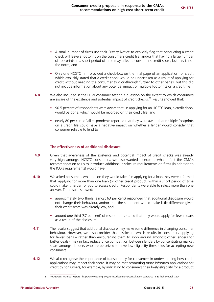- **•** A small number of firms use their Privacy Notice to explicitly flag that conducting a credit check will leave a footprint on the consumer's credit file; and/or that having a large number of footprints in a short period of time may affect a consumer's credit score, but this is not the norm, and
- **•** Only one HCSTC firm provided a check-box on the final page of an application for credit which explicitly stated that a credit check would be undertaken as a result of applying for credit without needing the consumer to click-through further to other pages, but this did not include information about any potential impact of multiple footprints on a credit file
- **4.8** We also included in the PCW consumer testing a question on the extent to which consumers are aware of the existence and potential impact of credit checks. $37$  Results showed that:
	- **•** 90.5 percent of respondents were aware that, in applying for an HCSTC loan, a credit check would be done, which would be recorded on their credit file, and
	- **•** nearly 80 per cent of all respondents reported that they were aware that multiple footprints on a credit file could have a negative impact on whether a lender would consider that consumer reliable to lend to

## **The effectiveness of additional disclosure**

- **4.9** Given that awareness of the existence and potential impact of credit checks was already very high amongst HCSTC consumers, we also wanted to explore what effect the CMA's recommendation to us to introduce additional disclosure requirements on firms (in addition to the ICO's requirements) would have.
- **4.10** We asked consumers what action they would take if in applying for a loan they were informed that 'applying for more than one loan (or other credit product) within a short period of time could make it harder for you to access credit'. Respondents were able to select more than one answer. The results showed:
	- **•** approximately two thirds (almost 63 per cent) responded that additional disclosure would not change their behaviour, and/or that the statement would make little difference given their credit score was already low, and
	- around one third (37 per cent) of respondents stated that they would apply for fewer loans as a result of the disclosure
- **4.11** The results suggest that additional disclosure may make some difference in changing consumer behaviour. However, we also consider that disclosure which results in consumers applying for fewer loans – rather than encouraging them to shop around amongst other lenders for better deals - may in fact reduce price competition between lenders by concentrating market share amongst lenders who are perceived to have low eligibility thresholds for accepting new consumers.
- **4.12** We also recognise the importance of transparency for consumers in understanding how credit applications may impact their score. It may be that promoting *more informed* applications for credit by consumers, for example, by indicating to consumers their likely eligibility for a product

<sup>37</sup> [YouGov/LE Technical Report](http://fca.org.uk/your-fca/documents/consultation-papers/cp15-33-behavioural-study  ) - http://www.fca.org.uk/your-fca/documents/consultation-papers/cp15-33-behavioural-study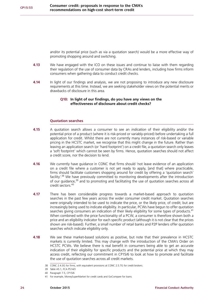and/or its potential price (such as via a quotation search) would be a more effective way of promoting shopping around and switching.

- **4.13** We have engaged with the ICO on these issues and continue to liaise with them regarding their regulation of the use of consumer data by CRAs and lenders, including how firms inform consumers when gathering data to conduct credit checks.
- **4.14** In light of our findings and analysis, we are not proposing to introduce any new disclosure requirements at this time. Instead, we are seeking stakeholder views on the potential merits or drawbacks of disclosure in this area.

#### **Q10: In light of our findings, do you have any views on the effectiveness of disclosure about credit checks?**

#### **Quotation searches**

- **4.15** A quotation search allows a consumer to see an *indication* of their eligibility and/or the potential price of a product (where it is risk-priced or variably-priced) before undertaking a full application for credit. Whilst there are not currently many instances of risk-based or variable pricing in the HCSTC market, we recognise that this might change in the future. Rather than leaving an application search (or 'hard footprint') on a credit file, a quotation search only leaves a 'soft footprint' which cannot be seen by firms. Hence, quotation searches should not affect a credit score, nor the decision to lend.
- **4.16** We currently have guidance in CONC that firms should 'not leave evidence of an application on a credit file where a customer is not yet ready to apply, [and that] where practicable, firms should facilitate customers shopping around for credit by offering a 'quotation search' facility<sup>'.38</sup> We have previously committed to monitoring developments after the introduction of our quidance, $39$  and to promoting and facilitating the use of quotation searches across all credit sectors.<sup>40</sup>
- **4.17** There has been considerable progress towards a market-based approach to quotation searches in the past few years across the wider consumer credit market. Quotation searches were originally intended to be used to indicate the price, or the likely price, of credit; but are increasingly being used to indicate eligibility. In particular, PCWs have begun to offer quotation searches giving consumers an indication of their likely eligibility for some types of products.<sup>41</sup> When combined with the price functionality of a PCW, a consumer is therefore shown both a price and an eligibility indicator for each specific product (although it is not clear that the prices shown are risk-based). Further, a small number of retail banks and P2P lenders offer quotation searches which indicate eligibility only.
- **4.18** We see these market-based solutions as positive, but note that their prevalence in HCSTC markets is currently limited. This may change with the introduction of the CMA's Order on HCSTC PCWs. We believe there is real benefit in consumers being able to get an accurate indication of their eligibility for specific products and the potential price at which they may access credit, reflecting our commitment in CP15/6 to look at how to promote and facilitate the use of quotation searches across all credit markets.

<sup>38</sup> CONC 2.4.3G for firms, with equivalent provisions at CONC 2.5.7G for credit brokers.

<sup>39</sup> Table A5.1, FCA PS14/3

<sup>40</sup> Paragraph 7.5, CP15/6

<sup>41</sup> For example, MoneySuperMarket for credit cards and GoCompare for loans.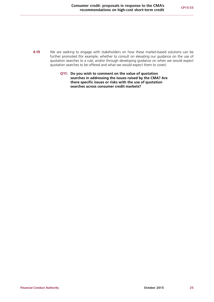- **4.19** We are seeking to engage with stakeholders on how these market-based solutions can be further promoted (for example, whether to consult on elevating our guidance on the use of quotation searches to a rule, and/or through developing guidance on when we would expect quotation searches to be offered and what we would expect them to cover).
	- **Q11: Do you wish to comment on the value of quotation searches in addressing the issues raised by the CMA? Are there specific issues or risks with the use of quotation searches across consumer credit markets?**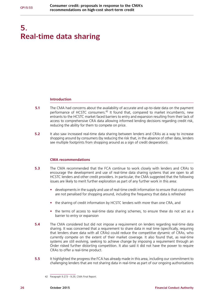# <span id="page-27-0"></span>**5. Real-time data sharing**

#### **Introduction**

- **5.1** The CMA had concerns about the availability of accurate and up-to-date data on the payment performance of HCSTC consumers.<sup>42</sup> It found that, compared to market incumbents, new entrants to the HCSTC market faced barriers to entry and expansion resulting from their lack of access to comprehensive CRA data allowing informed lending decisions regarding credit risk, reducing the ability for them to compete on price.
- **5.2** It also saw increased real-time data sharing between lenders and CRAs as a way to increase shopping around by consumers (by reducing the risk that, in the absence of other data, lenders see multiple footprints from shopping around as a sign of credit desperation).

### **CMA recommendations**

- **5.3** The CMA recommended that the FCA continue to work closely with lenders and CRAs to encourage the development and use of real-time data sharing systems that are open to all HCSTC lenders and other credit providers. In particular, the CMA suggested that the following issues are likely to merit further exploration as part of any further work in this area:
	- **•** developments in the supply and use of real-time credit information to ensure that customers are not penalised for shopping around, including the frequency that data is refreshed
	- **•** the sharing of credit information by HCSTC lenders with more than one CRA, and
	- **•** the terms of access to real-time data sharing schemes, to ensure these do not act as a barrier to entry or expansion
- **5.4** The CMA considered but did not impose a requirement on lenders regarding real-time data sharing. It was concerned that a requirement to share data in real time (specifically, requiring that lenders share data with all CRAs) could reduce the competitive dynamic of CRAs, who currently compete on the extent of their market coverage. It also found that, as real-time systems are still evolving, seeking to achieve change by imposing a requirement through an Order risked further distorting competition. It also said it did not have the power to require CRAs to offer a real-time product.
- **5.5** It highlighted the progress the FCA has already made in this area, including our commitment to challenging lenders that are not sharing data in real-time as part of our ongoing authorisations

<sup>42</sup> Paragraph 9.273 - 9.29, CMA Final Report.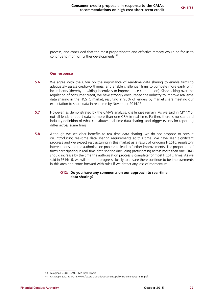process, and concluded that the most proportionate and effective remedy would be for us to continue to monitor further developments.<sup>43</sup>

#### **Our response**

- **5.6** We agree with the CMA on the importance of real-time data sharing to enable firms to adequately assess creditworthiness, and enable challenger firms to compete more easily with incumbents (thereby providing incentives to improve price competition). Since taking over the regulation of consumer credit, we have strongly encouraged the industry to improve real-time data sharing in the HCSTC market, resulting in 90% of lenders by market share meeting our expectation to share data in real time by November 2014.<sup>44</sup>
- **5.7** However, as demonstrated by the CMA's analysis, challenges remain. As we said in CP14/16, not all lenders report data to more than one CRA in real time. Further, there is no standard industry definition of what constitutes real-time data sharing, and trigger events for reporting differ across some firms.
- **5.8** Although we see clear benefits to real-time data sharing, we do not propose to consult on introducing real-time data sharing requirements at this time. We have seen significant progress and we expect restructuring in this market as a result of ongoing HCSTC regulatory interventions and the authorisation process to lead to further improvements. The proportion of firms participating in real-time data sharing (including participating across more than one CRA) should increase by the time the authorisation process is complete for most HCSTC firms. As we said in PS14/16, we will monitor progress closely to ensure there continue to be improvements in this area and come forward with rules if we detect any loss of momentum.

#### **Q12: Do you have any comments on our approach to real-time data sharing?**

<sup>43</sup> Paragraph 9.280-9.291, CMA Final Report.

<sup>44</sup> Paragraph 5.12, PS14/16: [www.fca.org.uk/static/documents/policy-statements/ps14-16.pdf](http://www.fca.org.uk/static/documents/policy-statements/ps14-16.pdf).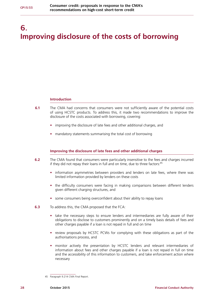# <span id="page-29-0"></span>**6. Improving disclosure of the costs of borrowing**

#### **Introduction**

- **6.1** The CMA had concerns that consumers were not sufficiently aware of the potential costs of using HCSTC products. To address this, it made two recommendations to improve the disclosure of the costs associated with borrowing, covering:
	- **•** improving the disclosure of late fees and other additional charges, and
	- **•** mandatory statements summarising the total cost of borrowing

#### **Improving the disclosure of late fees and other additional charges**

- **6.2** The CMA found that consumers were particularly insensitive to the fees and charges incurred if they did not repay their loans in full and on time, due to three factors:  $45$ 
	- **•** information asymmetries between providers and lenders on late fees, where there was limited information provided by lenders on these costs
	- **•** the difficulty consumers were facing in making comparisons between different lenders given different charging structures, and
	- **•** some consumers being overconfident about their ability to repay loans
- **6.3** To address this, the CMA proposed that the FCA:
	- **•** take the necessary steps to ensure lenders and intermediaries are fully aware of their obligations to disclose to customers prominently and on a timely basis details of fees and other charges payable if a loan is not repaid in full and on time
	- **•** review proposals by HCSTC PCWs for complying with these obligations as part of the authorisations process, and
	- **•** monitor actively the presentation by HCSTC lenders and relevant intermediaries of information about fees and other charges payable if a loan is not repaid in full on time and the accessibility of this information to customers, and take enforcement action where necessary

<sup>45</sup> Paragraph 9.214 CMA Final Report.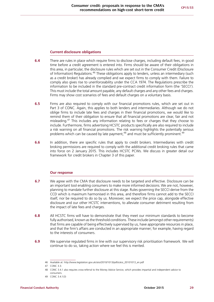### **Current disclosure obligations**

- **6.4** There are rules in place which require firms to disclose charges, including default fees, in good time before a credit agreement is entered into. Firms should be aware of their obligations in this area, in particular, the disclosure rules which are set out in the Consumer Credit (Disclosure of Information) Regulations.46 These obligations apply to lenders, unless an intermediary (such as a credit broker) has already complied and we expect firms to comply with them. Failure to comply also gives rise to unenforceability under the CCA 1974. The Regulations prescribe the information to be included in the standard pre-contract credit information form (the 'SECCI'). This must include the total amount payable, any default charges and any other fees and charges. Firms may show cost scenarios of fees and default charges on a voluntary basis.
- **6.5** Firms are also required to comply with our financial promotions rules, which are set out in Part 3 of CONC. Again, this applies to both lenders and intermediaries. Although we do not oblige firms to include late fees and charges in their financial promotions, we would like to remind them of their obligation to ensure that all financial promotions are clear, fair and not misleading.47 This includes any information relating to fees or charges that they choose to include. Furthermore, firms advertising HCSTC products specifically are also required to include a risk warning on all financial promotions. The risk warning highlights the potentially serious problems which can be caused by late payment.<sup>48</sup> and must be sufficiently prominent.<sup>49</sup>
- **6.6** In addition, there are specific rules that apply to credit brokers. Intermediaries with credit broking permissions are required to comply with the additional credit broking rules that came into force on 2 January 2015. This includes HCSTC PCWs. We discuss in greater detail our framework for credit brokers in Chapter 3 of this paper.

### **Our response**

- **6.7** We agree with the CMA that disclosure needs to be targeted and effective. Disclosure can be an important tool enabling consumers to make more informed decisions. We are not, however, planning to mandate further disclosure at this stage. Rules governing the SECCI derive from the CCD which is maximum harmonised in this area, and therefore firms cannot add to the SECCI itself, nor be required to do so by us. Moreover, we expect the price cap, alongside effective disclosure and our other HCSTC interventions, to alleviate consumer detriment resulting from the impact of late fees and charges.
- **6.8** All HCSTC firms will have to demonstrate that they meet our minimum standards to become fully authorised, known as the threshold conditions. These include (amongst other requirements) that firms are capable of being effectively supervised by us, have appropriate resources in place, and that the firm's affairs are conducted in an appropriate manner; for example, having regard to the interests of consumers.
- **6.9** We supervise regulated firms in line with our supervisory risk prioritisation framework. We will continue to do so, taking action where we feel this is merited.

<sup>46</sup> Available at: [http://www.legislation.gov.uk/uksi/2010/1013/pdfs/uksi\\_20101013\\_en.pdf](http://www.legislation.gov.uk/uksi/2010/1013/pdfs/uksi_20101013_en.pdf) 

<sup>47</sup> CONC 3.3.

<sup>48</sup> CONC 3.4.1 also requires cross-referral to the Money Advice Service, which provides impartial and independent advice to consumers.

<sup>49</sup> CONC 3.4.1(3)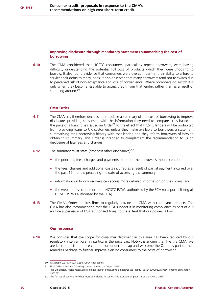### **Improving disclosure through mandatory statements summarising the cost of borrowing**

**6.10** The CMA considered that HCSTC consumers, particularly repeat borrowers, were having difficulty understanding the potential full cost of products which they were choosing to borrow. It also found evidence that consumers were overconfident in their ability to afford to service their debts to repay loans. It also observed that many borrowers tend not to switch due to perceived risk of non-acceptance and lose of convenience. Where borrowers do switch it is only when they become less able to access credit from that lender, rather than as a result of shopping around. $50$ 

#### **CMA Order**

- **6.11** The CMA has therefore decided to introduce a summary of the cost of borrowing to improve disclosure, providing consumers with the information they need to compare firms based on the price of a loan. It has issued an Order<sup>51</sup> to the effect that HCSTC lenders will be prohibited from providing loans to UK customers unless they make available to borrowers a statement summarising their borrowing history with that lender, and they inform borrowers of how to obtain this summary. This Order is intended to complement the recommendation to us on disclosure of late fees and charges.
- **6.12** The summary must state (amongst other disclosures):<sup>52</sup>
	- the principal, fees, charges and payments made for the borrower's most recent loan
	- **•** the fees, charges and additional costs incurred as a result of partial payment incurred over the past 12 months preceding the date of accessing the summary
	- **•** information on how borrowers can access more detailed information on their loans, and
	- **•** the web address of one or more HCSTC PCWs authorised by the FCA (or a portal listing all HCSTC PCWs authorised by the FCA)
- **6.13** The CMA's Order requires firms to regularly provide the CMA with compliance reports. The CMA has also recommended that the FCA support it in monitoring compliance as part of our routine supervision of FCA authorised firms, to the extent that our powers allow.

#### **Our response**

**6.14** We consider that the scope for consumer detriment in this area has been reduced by our regulatory interventions, in particular the price cap. Notwithstanding this, like the CMA, we are keen to facilitate price competition under the cap and welcome the Order as part of their remedies package to further improve alerting consumers to the costs of borrowing.

<sup>50</sup> Paragraph 9.214, 9.923-9.294, CMA Final Report.

<sup>51</sup> Final Order published following consultation on 13 August 2015.

The Explanatory Note: [https://assets.digital.cabinet-office.gov.uk/media/55cc61aeed915d5346000022/Payday\\_lending\\_explanatory\\_](https://assets.digital.cabinet-office.gov.uk/media/55cc61aeed915d5346000022/Payday_lending_explanatory_note.pdf) [note.pdf](https://assets.digital.cabinet-office.gov.uk/media/55cc61aeed915d5346000022/Payday_lending_explanatory_note.pdf)

<sup>52</sup> The full list of content for what must be included in summary is available on page 13 of the CMA's Order.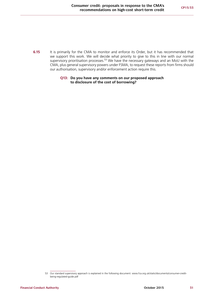**6.15** It is primarily for the CMA to monitor and enforce its Order, but it has recommended that we support this work. We will decide what priority to give to this in line with our normal supervisory prioritisation processes.<sup>53</sup> We have the necessary gateways and an MoU with the CMA, plus general supervisory powers under FSMA, to request these reports from firms should our authorisation, supervisory and/or enforcement action require this.

#### **Q13: Do you have any comments on our proposed approach to disclosure of the cost of borrowing?**

<sup>53</sup> Our standard supervisory approach is explained in the following document: [www.fca.org.uk/static/documents/consumer-credit](http://www.fca.org.uk/static/documents/consumer-credit-being-regulated-guide.pdf)[being-regulated-guide.pdf](http://www.fca.org.uk/static/documents/consumer-credit-being-regulated-guide.pdf)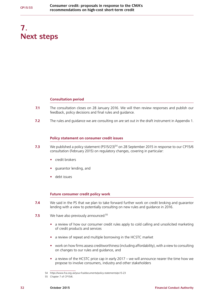# <span id="page-33-0"></span>**7. Next steps**

#### **Consultation period**

- **7.1** The consultation closes on 28 January 2016. We will then review responses and publish our feedback, policy decisions and final rules and guidance.
- **7.2** The rules and guidance we are consulting on are set out in the draft instrument in Appendix 1.

#### **Policy statement on consumer credit issues**

- **7.3** We published a policy statement (PS15/23)<sup>54</sup> on 28 September 2015 in response to our CP15/6 consultation (February 2015) on regulatory changes, covering in particular:
	- **•** credit brokers
	- **•** guarantor lending, and
	- **•** debt issues

#### **Future consumer credit policy work**

- **7.4** We said in the PS that we plan to take forward further work on credit broking and guarantor lending with a view to potentially consulting on new rules and guidance in 2016.
- **7.5** We have also previously announced:<sup>55</sup>
	- **•** a review of how our consumer credit rules apply to cold calling and unsolicited marketing of credit products and services
	- **•** a review of repeat and multiple borrowing in the HCSTC market
	- **•** work on how firms assess creditworthiness (including affordability), with a view to consulting on changes to our rules and guidance, and
	- **•** a review of the HCSTC price cap in early 2017 we will announce nearer the time how we propose to involve consumers, industry and other stakeholders

<sup>54</sup> <https://www.fca.org.uk/your-fca/documents/policy-statements/ps15-23>

<sup>55</sup> Chapter 7 of CP15/6.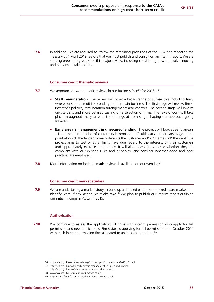**7.6** In addition, we are required to review the remaining provisions of the CCA and report to the Treasury by 1 April 2019. Before that we must publish and consult on an interim report. We are starting preparatory work for this major review, including considering how to involve industry and consumer stakeholders.

#### **Consumer credit thematic reviews**

- **7.7** We announced two thematic reviews in our Business Plan<sup>56</sup> for 2015-16:
	- **• Staff remuneration**: The review will cover a broad range of sub-sectors including firms where consumer credit is secondary to their main business. The first stage will review firms' incentives policies, remuneration arrangements and controls. The second stage will involve on-site visits and more detailed testing on a selection of firms. The review work will take place throughout the year with the findings at each stage shaping our approach going forward.
	- **• Early arrears management in unsecured lending:** The project will look at early arrears – from the identification of customers in probable difficulties at a pre-arrears stage to the point at which the lender formally defaults the customer and/or 'charges off' the debt. The project aims to test whether firms have due regard to the interests of their customers and appropriately exercise forbearance. It will also assess firms to see whether they are compliant with our existing rules and principles, and consider whether good and poor practices are employed.
- **7.8** More information on both thematic reviews is available on our website.<sup>57</sup>

#### **Consumer credit market studies**

**7.9** We are undertaking a market study to build up a detailed picture of the credit card market and identify what, if any, action we might take.<sup>58</sup> We plan to publish our interim report outlining our initial findings in Autumn 2015.

#### **Authorisation**

**7.10** We continue to assess the applications of firms with interim permission who apply for full permission and new applications. Firms started applying for full permission from October 2014 with each interim permission firm allocated to an application period.<sup>59</sup>

<sup>56</sup> [www.fca.org.uk/static/channel-page/business-plan/business-plan-2015-16.html](http://www.fca.org.uk/static/channel-page/business-plan/business-plan-2015-16.html)

<sup>57</sup> [http://fca.org.uk/news/tr-early-arrears-management-in-unsecured-lending;](http://fca.org.uk/news/tr-early-arrears-management-in-unsecured-lending)

<http://fca.org.uk/news/tr-staff-remuneration-and-incentives> 58 [www.fca.org.uk/news/credit-card-market-study](http://www.fca.org.uk/news/credit-card-market-study)

<sup>59</sup> <https://small-firms.fca.org.uk/authorisation-consumer-credit>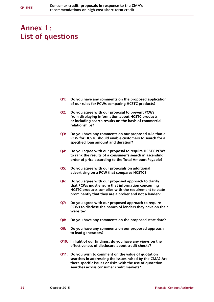# <span id="page-35-0"></span>**Annex 1: List of questions**

- **Q1: Do you have any comments on the proposed application of our rules for PCWs comparing HCSTC products?**
- **Q2: Do you agree with our proposal to prevent PCWs from displaying information about HCSTC products or including search results on the basis of commercial relationships?**
- **Q3: Do you have any comments on our proposed rule that a PCW for HCSTC should enable customers to search for a specified loan amount and duration?**
- **Q4: Do you agree with our proposal to require HCSTC PCWs to rank the results of a consumer's search in ascending order of price according to the Total Amount Payable?**
- **Q5: Do you agree with our proposals on additional advertising on a PCW that compares HCSTC?**
- **Q6: Do you agree with our proposed approach to clarify that PCWs must ensure that information concerning HCSTC products complies with the requirement to state prominently that they are a broker and not a lender?**
- **Q7: Do you agree with our proposed approach to require PCWs to disclose the names of lenders they have on their website?**
- **Q8: Do you have any comments on the proposed start date?**
- **Q9: Do you have any comments on our proposed approach to lead generators?**
- **Q10: In light of our findings, do you have any views on the effectiveness of disclosure about credit checks?**
- **Q11: Do you wish to comment on the value of quotation searches in addressing the issues raised by the CMA? Are there specific issues or risks with the use of quotation searches across consumer credit markets?**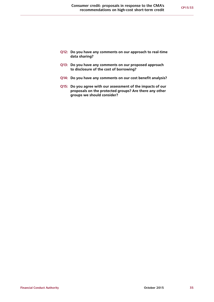- **Q12: Do you have any comments on our approach to real-time data sharing?**
- **Q13: Do you have any comments on our proposed approach to disclosure of the cost of borrowing?**
- **Q14: Do you have any comments on our cost benefit analysis?**
- **Q15: Do you agree with our assessment of the impacts of our proposals on the protected groups? Are there any other groups we should consider?**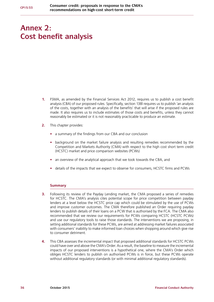# <span id="page-37-0"></span>**Annex 2: Cost benefit analysis**

- **1.** FSMA, as amended by the Financial Services Act 2012, requires us to publish a cost benefit analysis (CBA) of our proposed rules. Specifically, section 138l requires us to publish 'an analysis of the costs, together with an analysis of the benefits' that will arise if the proposed rules are made. It also requires us to include estimates of those costs and benefits, unless they cannot reasonably be estimated or it is not reasonably practicable to produce an estimate.
- **2.** This chapter provides:
	- **•** a summary of the findings from our CBA and our conclusion
	- **•** background on the market failure analysis and resulting remedies recommended by the Competition and Markets Authority (CMA) with respect to the high cost short term credit (HCSTC) market and price comparison websites (PCWs)
	- **•** an overview of the analytical approach that we took towards the CBA, and
	- **•** details of the impacts that we expect to observe for consumers, HCSTC firms and PCWs

### **Summary**

- **3.** Following its review of the Payday Lending market, the CMA proposed a series of remedies for HCSTC. The CMA's analysis cites potential scope for price competition between payday lenders at a level below the HCSTC price cap which could be stimulated by the use of PCWs and improve customer outcomes. The CMA therefore published an Order requiring payday lenders to publish details of their loans on a PCW that is authorised by the FCA. The CMA also recommended that we review our requirements for PCWs comparing HCSTC (HCSTC PCWs) and use our regulatory tools to raise those standards. The interventions we are proposing, in setting additional standards for these PCWs, are aimed at addressing market failures associated with consumers' inability to make informed loan choices when shopping around which give rise to consumer detriment.
- **4.** This CBA assesses the incremental impact that proposed additional standards for HCSTC PCWs could have over and above the CMA's Order. As a result, the baseline to measure the incremental impacts of our proposed interventions is a hypothetical one, where the CMA's Order which obliges HCSTC lenders to publish on authorised PCWs is in force, but these PCWs operate without additional regulatory standards (or with minimal additional regulatory standards).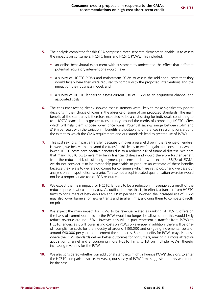- **5.** The analysis completed for this CBA comprised three separate elements to enable us to assess the impacts on consumers, HCSTC firms and HCSTC PCWs. This included:
	- **•** an online behavioural experiment with customers to understand the effect that different potential regulatory interventions would have
	- **•** a survey of HCSTC PCWs and mainstream PCWs to assess the additional costs that they would face where they were required to comply with the proposed interventions and the impact on their business model, and
	- **•** a survey of HCSTC lenders to assess current use of PCWs as an acquisition channel and associated costs
- **6.** The consumer testing clearly showed that customers were likely to make significantly poorer decisions in their choice of loans in the absence of some of our proposed standards. The main benefit of the standards is therefore expected to be a cost saving for individuals continuing to use HCSTC loans due to greater transparency around the merits of competing HCSTC offers which will help them choose lower price loans. Potential savings range between £4m and £19m per year; with the variation in benefits attributable to differences in assumptions around the extent to which the CMA requirement and our standards lead to greater use of PCWs.
- **7.** This cost saving is in part a transfer, because it implies a parallel drop in the revenue of lenders. However, we believe that beyond the transfer this leads to welfare gains for consumers where lower HCSTC costs have positive benefits due to a reduced risk of financial distress. We note that many HCSTC customers may be in financial distress and would therefore further benefit from the reduced risk of suffering payment problems. In line with section 138I(8) of FSMA, we do not consider it to be reasonably practicable to produce an estimate of these benefits because they relate to welfare outcomes for consumers which are yet to occur and we base our analysis on an hypothetical scenario. To attempt a sophisticated quantification exercise would not be a proportionate use of FCA resources.
- **8.** We expect the main impact for HCSTC lenders to be a reduction in revenue as a result of the reduced prices that customers pay. As outlined above, this is, in effect, a transfer from HCSTC firms to consumers of between £4m and £19m per year. However, the increased use of PCWs may also lower barriers for new entrants and smaller firms, allowing them to compete directly on price.
- **9.** We expect the main impact for PCWs to be revenue related as ranking of HCSTC offers on the basis of commission paid to the PCW would no longer be allowed and this would likely reduce revenue around 15%. However, this will in part represent a transfer from PCWs to HCSTC lenders as it will lower listing costs on PCWs *on average*. In addition, there will be oneoff compliance costs for the industry of around £150,000 and on-going incremental costs of around £40,000 per year to implement the standards. Some benefits for PCWs may also arise where the PCW standards deliver better outcomes for consumers, making it a more attractive acquisition channel and encouraging more HCSTC firms to list on multiple PCWs, thereby increasing revenues for the PCW.
- **10.** We also considered whether our additional standards might influence PCWs' decisions to enter the HCSTC comparison space. However, our survey of PCW firms suggests that this would not be the case.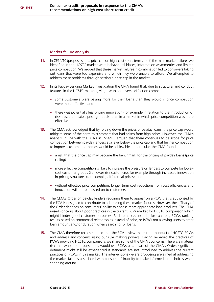#### **Market failure analysis**

- **11.** In CP14/10 (proposals for a price cap on high-cost short-term credit) the main market failures we identified in the HCSTC market were behavioural biases, information asymmetries and limited price competition. We argued that these market failures in combination led to borrowers taking out loans that were too expensive and which they were unable to afford. We attempted to address these problems through setting a price cap in the market.
- **12.** In its Payday Lending Market Investigation the CMA found that, due to structural and conduct features in the HCSTC market giving rise to an adverse effect on competition:
	- **•** some customers were paying more for their loans than they would if price competition were more effective, and
	- **•** there was potentially less pricing innovation (for example in relation to the introduction of risk-based or flexible pricing models) than in a market in which price competition was more effective
- **13.** The CMA acknowledged that by forcing down the prices of payday loans, the price cap would mitigate some of the harm to customers that had arisen from high prices. However, the CMA's analysis, in line with the FCA's in PS14/16, argued that there continues to be scope for price competition between payday lenders at a level below the price cap and that further competition to improve customer outcomes would be achievable. In particular, the CMA found:
	- **•** a risk that the price cap may become the benchmark for the pricing of payday loans (price ceiling)
	- **•** more effective competition is likely to increase the pressure on lenders to compete for lowercost customer groups (i.e. lower risk customers), for example through increased innovation in pricing structures (for example, differential prices), and
	- without effective price competition, longer term cost reductions from cost efficiencies and innovation will not be passed on to customers
- **14.** The CMA's Order on payday lenders requiring them to appear on a PCW that is authorised by the FCA is designed to contribute to addressing these market failures. However, the efficacy of the Order depends on consumers' ability to choose more appropriate loan products. The CMA raised concerns about poor practices in the current PCW market for HCSTC comparison which might hinder good customer outcomes. Such practices include, for example, PCWs ranking results based on commercial relationships instead of price, or PCWs not allowing users to enter loan amount and/ or duration when searching for loans.
- **15.** The CMA therefore recommended that the FCA review the current conduct of HCSTC PCWs and address any concerns using our rule making powers. Having reviewed the practices of PCWs providing HCSTC comparisons we share some of the CMA's concerns. There is a material risk that while more consumers would use PCWs as a result of the CMA's Order, significant detriment might still be experienced if standards are not introduced to address the current practices of PCWs in this market. The interventions we are proposing are aimed at addressing the market failures associated with consumers' inability to make informed loan choices when shopping around.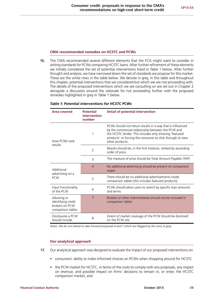#### **CMA recommended remedies on HCSTC and PCWs**

**16.** The CMA recommended several different elements that the FCA might want to consider in setting standards for PCWs comparing HCSTC loans. After further refinement of these elements we initially considered the set of potential interventions listed in Table 1 below. After further thought and analysis, we have narrowed down the set of standards we propose for this market. These are the white rows in the table below. We denote in grey, in this table and throughout this chapter, potential interventions that we considered but which we are not proceeding with. The details of the proposed interventions which we are consulting on are set out in Chapter 2 alongside a discussion around the rationale for not proceeding further with the proposed remedies highlighted in grey in Table 1 below.

| Area covered                                                             | <b>Potential</b><br>intervention<br>number | <b>Detail of potential intervention</b>                                                                                                                                                                                                                     |
|--------------------------------------------------------------------------|--------------------------------------------|-------------------------------------------------------------------------------------------------------------------------------------------------------------------------------------------------------------------------------------------------------------|
| How PCWs rank<br>results                                                 | 1                                          | PCWs should not return results in a way that is influenced<br>by the commercial relationship between the PCW and<br>the HCSTC lender. This includes only showing 'featured<br>products' or forcing the consumer to click through to view<br>other products. |
|                                                                          | 2                                          | Results should be, in the first instance, ranked by ascending<br>order of price.                                                                                                                                                                            |
|                                                                          | 3                                          | The measure of price should be Total Amount Payable (TAP)                                                                                                                                                                                                   |
| Additional                                                               | $\overline{4}$                             | No additional advertising should be present on comparison<br>pages                                                                                                                                                                                          |
| advertising on a<br><b>PCW</b>                                           | 5                                          | There should be no additional advertisements inside<br>comparison tables (this includes featured products)                                                                                                                                                  |
| Input functionality<br>of the PCW                                        | 6                                          | PCWs should allow users to search by specific loan amounts<br>and terms                                                                                                                                                                                     |
| Allowing or<br>identifying credit<br>brokers on PCW<br>comparison tables | $\overline{7}$                             | Brokers or other intermediaries should not be included in<br>comparison tables                                                                                                                                                                              |
| Disclosures a PCW<br>should include                                      | 8                                          | Extent of market coverage of the PCW should be disclosed<br>on the PCW site                                                                                                                                                                                 |

#### *Table 1: Potential interventions for HCSTC PCWs*

*Notes: We do not intend to take forward proposals 4 and 7 which are flagged by the rows in grey.*

### **Our analytical approach**

- **17.** Our analytical approach was designed to evaluate the impact of our proposed interventions on:
	- **•** consumers' ability to make informed choices on PCWs when shopping around for HCSTC
	- **•** the PCW market for HCSTC, in terms of the costs to comply with any proposals, any impact on revenue, and possible impact on firms' decisions to remain in, or enter, the HCSTC comparison market, and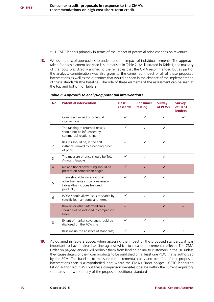- **•** HCSTC lenders primarily in terms of the impact of potential price changes on revenues
- **18.** We used a mix of approaches to understand the impact of individual elements. The approach taken for each element analysed is summarised in Table 2. As illustrated in Table 1, the majority of the focus was directly aligned to the remedies that the CMA recommended but as part of the analysis, consideration was also given to the combined impact of all of these proposed interventions as well as the outcomes that would be seen in the absence of the implementation of these standards (the baseline). The role of these elements of the assessment can be seen at the top and bottom of Table 2.

| No.            | <b>Potential intervention</b>                                                                                    | <b>Desk</b><br>research | <b>Consumer</b><br>testing | <b>Survey</b><br>of PCWs | <b>Survey</b><br>of HCST<br><b>lenders</b> |
|----------------|------------------------------------------------------------------------------------------------------------------|-------------------------|----------------------------|--------------------------|--------------------------------------------|
|                | Combined impact of potential<br>intervention                                                                     | ✓                       | ✓                          |                          |                                            |
| 1              | The ranking of returned results<br>should not be influenced by<br>commercial relationships                       | ✓                       | ✓                          | ✓                        |                                            |
| $\overline{2}$ | Results should be, in the first<br>instance, ranked by ascending order<br>of price                               | ✓                       | ✓                          | ✓                        |                                            |
| 3              | The measure of price should be Total<br>Amount Payable                                                           | ✓                       | ✓                          | ✓                        |                                            |
| $\overline{4}$ | No additional advertising should be<br>present on comparison pages                                               | ✓                       | ✓                          | ✓                        |                                            |
| 5              | There should be no additional<br>advertisements inside comparison<br>tables (this includes featured<br>products) | ✓                       | ✓                          | ✓                        |                                            |
| 6              | PCWs should allow users to search by<br>specific loan amounts and terms                                          | ✓                       | ✓                          | ✓                        |                                            |
| $\overline{7}$ | Brokers or other intermediaries<br>should not be included in comparison<br>tables                                | $\checkmark$            |                            | $\checkmark$             | ✓                                          |
| 8              | Extent of market coverage should be<br>disclosed on the PCW site                                                 | ✓                       | ✓                          | ✓                        |                                            |
|                | Baseline (in the absence of standards)                                                                           | ✓                       | ✓                          | ✓                        |                                            |

#### *Table 2: Approach to analysing potential interventions*

**19.** As outlined in Table 2 above, when assessing the impact of the proposed standards, it was important to have a clear baseline against which to measure incremental effects. The CMA Order on payday lenders will prohibit them from lending online to customers in the UK unless they cause details of their loan products to be published on at least one PCW that is authorised by the FCA. The baseline to measure the incremental costs and benefits of our proposed interventions then is a hypothetical one: where the CMA's Order obliges HCSTC lenders to list on authorised PCWs but these comparison websites operate within the current regulatory standards and without any of the proposed additional standards.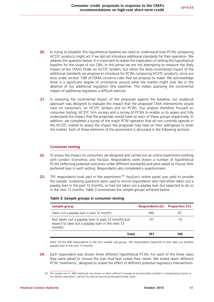- **20.** In trying to establish this hypothetical baseline we need to understand how PCWs comparing HCSTC products might act if we did not introduce additional standards for their operation. We address this question below. It is important to realise the implication of setting this hypothetical baseline for the scope of our CBA. In this annex we are not attempting to measure the likely impact of the CMA's Order on HCSTC lenders, but rather the likely incremental impact of the additional standards we propose to introduce for PCWs comparing HCSTC products, since our duty under section 138I of FSMA concerns rules that we propose to make. We acknowledge there is a significant degree of uncertainty around what the market might look like in the absence of our additional regulation (the baseline). This makes assessing the incremental impact of additional regulation a difficult exercise.
- **21.** In assessing the incremental impact of the proposals against the baseline, our analytical approach was designed to evaluate the impact that the proposed CMA interventions would have on consumers, on HCSTC lenders and on PCWs. Our analysis therefore focused on consumer testing, HCSTC firm surveys and a survey of PCWs to enable us to assess and fully understand the impact that the proposals would have on each of these groups respectively. In addition, we completed a survey of the major PCW operators that do not currently operate in the HCSTC market to assess the impact the proposals may have on their willingness to enter the market. Each of these elements of the assessment is discussed in the following sections.

### **Consumer testing**

- **22.** To assess the impact on consumers we designed and carried out an online experiment working with London Economics and YouGov. Respondents were shown a number of hypothetical PCWs (reflecting potential outcomes under different standards) and were asked to choose their preferred loan in each setting. Respondents also completed a questionnaire.
- **23.** 791 respondents took part in the experiment.<sup>60</sup> YouGov's online panel was used to provide the sample. Screening questions were used to recruit respondents who had either taken out a payday loan in the past 12 months, or had not taken out a payday loan but expected to do so in the next 12 months. Table 3 summarises the sample groups achieved below.

| Sample group                                                                                                   | <b>Respondents (n)</b> | <b>Proportion (%)</b> |
|----------------------------------------------------------------------------------------------------------------|------------------------|-----------------------|
| Taken out a payday loan in past 12 months                                                                      | 690                    | 87                    |
| Not taken out a payday loan in past 12 months but<br>expect to take out a payday loan in the next 12<br>months | 101                    | 13                    |
| Total                                                                                                          | 791                    | 100                   |

#### *Table 3: Sample groups in consumer testing*

*Note: Of the 690 respondents in the first sample sub-group, 184 respondents expected to also take out another payday loan in the next 12 months*

**24.** Each respondent was shown three different hypothetical PCWs. For each of the three cases they were asked to choose the loan that best suited their needs. We tested seven different PCW 'treatments', designed to isolate the effect of different potential regulatory interventions.

<sup>60</sup> The sample size of ~800 individuals was chosen to allow sufficient coverage to be reasonably confident in extrapolating impacts to the relevant population, without the exercise becoming disproportionally costly.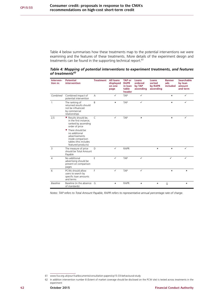Table 4 below summarises how these treatments map to the potential interventions we were examining and the features of these treatments. More details of the experiment design and treatments can be found in the supporting technical report.<sup>61</sup>

*Table 4: Mapping of potential interventions to experiment treatments, and features of treatments<sup>62</sup>*

| Interven-<br>tion nr. | <b>Potential</b><br>intervention                                                                                         | <b>Treatment</b> | <b>All loans</b><br>displayed<br>on one<br>page | <b>TAP or</b><br><b>RAPR</b><br>in Ioan<br>table<br>header | Loans<br>ordered<br>by TAP<br>ascending | Loans<br>sorted<br>by RAPR<br>ascending | <b>Banner</b><br>ads<br>included | <b>Searchable</b><br>by loan<br>amount<br>and term |
|-----------------------|--------------------------------------------------------------------------------------------------------------------------|------------------|-------------------------------------------------|------------------------------------------------------------|-----------------------------------------|-----------------------------------------|----------------------------------|----------------------------------------------------|
| Combined              | Combined impact of<br>potential intervention                                                                             | A                | $\checkmark$                                    | TAP                                                        | $\checkmark$                            |                                         | $\mathbf{x}$                     | $\checkmark$                                       |
| $\mathbf{1}$          | The ranking of<br>returned results should<br>not be influenced<br>by commercial<br>relationships                         | B                | ×                                               | <b>TAP</b>                                                 | $\checkmark$                            |                                         | $\mathbf{x}$                     | $\checkmark$                                       |
| 2,5                   | • Results should be,<br>in the first instance,<br>ranked by ascending<br>order of price                                  | $\mathsf{C}$     | ✓                                               | <b>TAP</b>                                                 | ×                                       |                                         | ×                                | ✓                                                  |
|                       | • There should be<br>no additional<br>advertisements<br>inside comparison<br>tables (this includes<br>featured products) |                  |                                                 |                                                            |                                         |                                         |                                  |                                                    |
| 3                     | The measure of price<br>should be Total Amount<br>Payable                                                                | D                | $\checkmark$                                    | <b>RAPR</b>                                                |                                         | ×                                       | ×                                | ✓                                                  |
| $\overline{4}$        | No additional<br>advertising should be<br>present on comparison<br>pages                                                 | E                | $\checkmark$                                    | <b>TAP</b>                                                 | $\checkmark$                            |                                         | ✓                                | $\checkmark$                                       |
| 6                     | PCWs should allow<br>users to search by<br>specific loan amounts<br>and terms                                            | F                | $\checkmark$                                    | TAP                                                        | $\checkmark$                            |                                         | ×                                | ×                                                  |
| <b>Baseline</b>       | Baseline (in the absence G<br>of standards)                                                                              |                  | ×                                               | <b>RAPR</b>                                                | ×                                       | ×                                       | ü                                | $\pmb{\times}$                                     |

*Notes: TAP refers to Total Amount Payable, RAPR refers to representative annual percentage rate of charge.*

<sup>61</sup> [www.fca.org.uk/your-fca/documents/consultation-papers/cp15-33-behavioural-study](http://www.fca.org.uk/your-fca/documents/consultation-papers/cp15-33-behavioural-study)

<sup>62</sup> In addition intervention number 8 (Extent of market coverage should be disclosed on the PCW site) is tested across treatments in the experiment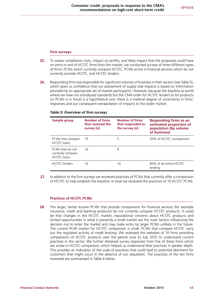#### **Firm surveys**

- **25.** To assess compliance costs, impact on profits, and likely impact that the proposals could have on entry or exit of HCSTC firms from the market, we conducted surveys of three different types of firms: PCWs which currently compare HCSTC, PCWs active in financial services which do not currently provide HCSTC, and HCSTC lenders.
- **26.** Responding firms are responsible for significant volumes of business in their sectors (see Table 5), which gives us confidence that our assessment of supply side impacts is based on information provided by an appropriate set of market participants. However, because the baseline (a world where we have not introduced standards but the CMA order for HCSTC lenders to list products on PCWs is in force) is a hypothetical one, there is a material degree of uncertainty in firms' responses and our consequent extrapolation of impacts to the wider market.

| Sample group                                                | <b>Number of firms</b><br>that received the<br>survey (n) | <b>Number of firms</b><br>that responded to<br>the survey (n) | <b>Responding firms as an</b><br>estimated proportion of<br>population (by volume<br>of business) |
|-------------------------------------------------------------|-----------------------------------------------------------|---------------------------------------------------------------|---------------------------------------------------------------------------------------------------|
| PCWs that compare<br><b>HCSTC</b> loans                     | 15                                                        | 5                                                             | 50% of HCSTC comparisons                                                                          |
| PCWs that do not<br>currently compare<br><b>HCSTC</b> loans | 16                                                        | 9                                                             |                                                                                                   |
| <b>HCSTC</b> lenders                                        | 14                                                        | 10                                                            | 85% of all online HCSTC<br>lendina                                                                |

#### *Table 5: Overview of firm surveys*

27. In addition to the firm surveys we reviewed practices of PCWs that currently offer a comparison of HCSTC to help establish the baseline. In total we reviewed the practices of 10 HCSTC PCWs.

#### **Practices of HCSTC PCWs**

**28.** The larger, better known PCWs that provide comparisons for financial services (for example insurance, credit and banking products) do not currently compare HCSTC products. It could be that changes in the HCSTC market, reputational concerns about HCSTC products and limited opportunities in what is presently a small market are the main factors influencing the decision not to enter the market and may make entry by larger PCWs unlikely in the future. The current PCW market for HCSTC comparison is small. PCWs that compare HCSTC carry out the regulated activity of credit broking. We reviewed the websites of 10 firms providing comparisons of HCSTC products over the period June to July 2015 to understand current practices in this sector. We further obtained survey responses from five of these firms which are active in HCSTC comparison, which helped us understand their practices in greater depth. This provides an indication of the scale of practices that could lead to potential detriment for customers that might occur in the absence of our regulation. The practices of the ten firms reviewed are summarised in Table 6 below.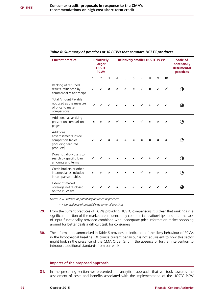| <b>Current practice</b>                                                                      |   | <b>Relatively</b><br>larger<br><b>HCSTC</b><br><b>PCWs</b> |                  | <b>Relatively smaller HCSTC PCWs</b> |                  |                           |                | Scale of<br>potentially<br>detrimental<br>practices |                  |              |  |
|----------------------------------------------------------------------------------------------|---|------------------------------------------------------------|------------------|--------------------------------------|------------------|---------------------------|----------------|-----------------------------------------------------|------------------|--------------|--|
|                                                                                              | 1 | $\overline{2}$                                             | 3                | 4                                    | 5                | 6                         | $\overline{7}$ | 8                                                   | 9                | 10           |  |
| Ranking of returned<br>results influenced by<br>commercial relationships                     |   |                                                            | ×                | $\mathbf x$                          | ×                | ×                         |                | $\mathbf{x}$                                        |                  | $\checkmark$ |  |
| Total Amount Payable<br>not used as the measure<br>of price to make<br>comparisons           |   |                                                            | $\checkmark$     | $\checkmark$                         | $\mathbf{x}$     | $\boldsymbol{\mathsf{x}}$ |                | $\mathbf{x}$                                        |                  | $\checkmark$ |  |
| Additional advertising<br>present on comparison<br>pages                                     | × | ×                                                          | ×                |                                      | $\boldsymbol{x}$ | ×                         |                | $\mathbf{x}$                                        | $\boldsymbol{x}$ | ×            |  |
| Additional<br>advertisements inside<br>comparison tables<br>(including featured<br>products) |   |                                                            | $\mathbf x$      | ×                                    | ×                | ×                         | ×              | ×                                                   | ×                | ×            |  |
| Does not allow users to<br>search by specific loan<br>amounts and terms                      |   | ✓                                                          | $\boldsymbol{x}$ | $\mathbf x$                          | ×                | ×                         | ✓              | $\mathbf{x}$                                        |                  |              |  |
| Credit brokers or other<br>intermediaries included<br>in comparison tables                   | × | ×                                                          | ×                | ×                                    | ×                | ×                         |                | ×                                                   | ×                | ×            |  |
| Extent of market<br>coverage not disclosed<br>on the PCW site.                               |   |                                                            |                  | ×                                    | ×                |                           |                |                                                     |                  |              |  |

#### *Table 6: Summary of practices at 10 PCWs that compare HCSTC products*

*Notes: ✓ = Evidence of potentially detrimental practices* 

 û *= No evidence of potentially detrimental practices*

- **29.** From the current practices of PCWs providing HCSTC comparisons it is clear that rankings in a significant portion of the market are influenced by commercial relationships, and that the lack of input functionality provided combined with inadequate price information makes shopping around for better deals a difficult task for consumers.
- **30.** The information summarised in Table 6 provides an indication of the likely behaviour of PCWs in the hypothetical baseline. Of course current behaviour is not equivalent to how this sector might look in the presence of the CMA Order (and in the absence of further intervention to introduce additional standards from our end).

#### **Impacts of the proposed approach**

**31.** In the preceding section we presented the analytical approach that we took towards the assessment of costs and benefits associated with the implementation of the HCSTC PCW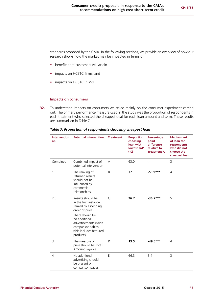standards proposed by the CMA. In the following sections, we provide an overview of how our research shows how the market may be impacted in terms of:

- **•** benefits that customers will attain
- **•** impacts on HCSTC firms, and
- **•** impacts on HCSTC PCWs

#### **Impacts on consumers**

**32.** To understand impacts on consumers we relied mainly on the consumer experiment carried out. The primary performance measure used in the study was the proportion of respondents in each treatment who selected the cheapest deal for each loan amount and term. These results are summarised in Table 7.

| <b>Intervention</b><br>nr. | <b>Potential intervention</b>                                                                                                                                                                                   | <b>Treatment</b> | <b>Proportion</b><br>choosing<br>loan with<br><b>lowest TAP</b><br>(%) | Percentage<br>point<br>difference<br>relative to<br><b>Treatment A</b> | <b>Median rank</b><br>of loan for<br>respondents<br>who did not<br>choose the<br>cheapest loan |
|----------------------------|-----------------------------------------------------------------------------------------------------------------------------------------------------------------------------------------------------------------|------------------|------------------------------------------------------------------------|------------------------------------------------------------------------|------------------------------------------------------------------------------------------------|
| Combined                   | Combined impact of<br>potential intervention                                                                                                                                                                    | A                | 63.0                                                                   |                                                                        | 3                                                                                              |
| 1                          | The ranking of<br>returned results<br>should not be<br>influenced by<br>commercial<br>relationships                                                                                                             | B                | 3.1                                                                    | $-59.9***$                                                             | 4                                                                                              |
| 2,5                        | Results should be,<br>in the first instance,<br>ranked by ascending<br>order of price<br>There should be<br>no additional<br>advertisements inside<br>comparison tables<br>(this includes featured<br>products) | $\subset$        | 26.7                                                                   | $-36.2***$                                                             | 5                                                                                              |
| 3                          | The measure of<br>price should be Total<br>Amount Payable                                                                                                                                                       | D                | 13.5                                                                   | $-49.5***$                                                             | 4                                                                                              |
| $\overline{4}$             | No additional<br>advertising should<br>be present on<br>comparison pages                                                                                                                                        | E                | 66.3                                                                   | 3.4                                                                    | 3                                                                                              |

#### *Table 7: Proportion of respondents choosing cheapest loan*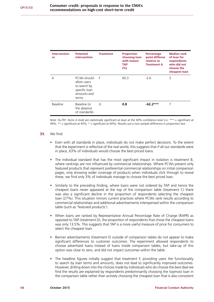| <b>Intervention</b><br>nr. | <b>Potential</b><br>intervention                                                    | <b>Treatment</b> | <b>Proportion</b><br>choosing loan<br>with lowest<br>TAP<br>(%) | Percentage<br>point diffence<br>relative to<br><b>Treatment A</b> | <b>Median rank</b><br>of loan for<br>respondents<br>who did not<br>choose the<br>cheapest loan |
|----------------------------|-------------------------------------------------------------------------------------|------------------|-----------------------------------------------------------------|-------------------------------------------------------------------|------------------------------------------------------------------------------------------------|
| 6                          | PCWs should<br>allow users<br>to search by<br>specific loan<br>amounts and<br>terms | F                | 60.3                                                            | $-2.6$                                                            | 3                                                                                              |
| Baseline                   | Baseline (in<br>the absence<br>of standards)                                        | G                | 0.8                                                             | $-62.2***$                                                        | 7                                                                                              |

*Note: N=791. Items in bold are statistically significant at least at the 90% confidence level (i.e. \*\*\* = significant at 99%; \*\* = significant at 95%; \* = significant at 90%). Results use a two-sample difference in proportion test.*

#### **33.** We find:

- **•** Even with all standards in place, individuals do not make perfect decisions. To the extent that the experiment is reflective of the real world, this suggests that if all our standards were in place, 63% of individuals would choose the best priced loans.
- **•** The individual standard that has the most significant impact in isolation is treatment B, where rankings are not influenced by commercial relationships. Where PCWs present only featured products that represent preferential commercial relationships on initial comparison pages, only showing wider coverage of products when individuals click through to reveal these, we find only 3% of individuals manage to choose the best priced loan.
- **•** Similarly to the preceding finding, where loans were not ordered by TAP and hence the cheapest loans never appeared at the top of the comparison table (treatment C) there was also a significant decline in the proportion of respondents selecting the cheapest loan (27%). This situation mirrors current practices where PCWs rank results according to commercial relationships and additional advertisements interspersed within the comparison table (such as 'featured products').
- **•** When loans are ranked by Representative Annual Percentage Rate of Charge (RAPR) as opposed to TAP (treatment D), the proportion of respondents that chose the cheapest loans was only 13.5%. This suggests that TAP is a more useful measure of price for consumers to select the cheapest loan.
- **•** Banner advertisements (treatment E) outside of comparison tables do not appear to make significant differences to customer outcomes. The experiment allowed respondents to choose advertised loans instead of loans inside comparison tables, but take-up of this option was close to zero, and did not impact outcomes within the table.
- The headline figures initially suggest that treatment F, providing users the functionality to search by loan terms and amounts, does not lead to significantly improved outcomes. However, drilling down into the choices made by individuals who do choose the best deal we find the results are explained by respondents predominantly choosing the topmost loan in the comparison table rather than actively choosing the cheapest loan that is also consistent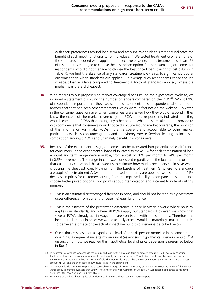with their preferences around loan term and amount. We think this strongly indicates the benefit of such input functionality for individuals.<sup>63</sup> We tested treatment G where none of the standards proposed were applied, to reflect the baseline. In this treatment less than 1% of respondents managed to choose the best priced option. Further examining outcomes for respondents who did not manage to choose the best priced loan (the rightmost column in Table 7), we find the absence of any standards (treatment G) leads to significantly poorer outcomes than when standards are applied. On average such respondents chose the 7th cheapest loan available compared to treatment A (with all standards applied) where the median was the 3rd cheapest.

- **34.** With regards to our proposals on market coverage disclosure, on the hypothetical website, we included a statement disclosing the number of lenders compared on the PCW<sup>64</sup>. Whilst 69% of respondents reported that they had seen this statement, these respondents also tended to answer that they had seen other statements which were in fact not on the website. However, in the consumer questionnaire, when consumers were asked how they would respond if they knew the extent of the market covered by the PCW, more respondents indicated that they would search other PCWs than taking any other action. While these results do not provide us with confidence that consumers would notice disclosure around market coverage, the provision of this information will make PCWs more transparent and accountable to other market participants (such as consumer groups and the Money Advice Service), leading to increased competition amongst PCWs and ultimately benefits for consumers.
- **35.** Because of the experiment design, outcomes can be translated into potential price difference for consumers. In the experiment 9 loans (duplicated to make 18) for each combination of loan amount and term range were available, from a cost of 20% per month to 24% per month in 0.5% increments. The range in cost was consistent regardless of the loan amount or term that customers chose and this allowed us to estimate how much consumers could save when choosing the cheapest loan. Moving from the baseline of treatment G (where no standards are applied) to treatment A (where all proposed standards are applied) we estimate an 11% decrease in prices for customers, arising from the improved ability to compare loans and hence choose better priced options. Two points about interpretation and a caveat to note about this number:
	- **•** This is an estimated *percentage* difference in price, and should not be read as a *percentage point* difference from current (or baseline) equilibrium price.
	- **•** This is the estimate of the percentage difference in price between a world where no PCW applies our standards, and where all PCWs apply our standards. However, we know that several PCWs already act in ways that are consistent with our standards. Therefore the incremental impact in prices we would actually expect would be materially smaller than this. To derive an estimate of the actual impact we build two scenarios described below.
	- **•** Our estimate is based on a hypothetical level of price dispersion modelled in the experiment, which has a degree of uncertainty around it (as any such hypothetical scenario would).<sup>65</sup> A discussion of how we reached this hypothetical level of price dispersion is presented below in Box 1.

<sup>63</sup> In treatment A, of those who choose the best priced loan (within any loan term or amount category) 52% do so by choosing the top most loan in the comparison table. In treatment F, this number rises to 85%. In both treatments because the products in the comparison table are ranked by TAP by default, the topmost loan is the best priced one among the category with the lowest amount (£100) and the shortest term (30 days) tested in the experiment.

<sup>64</sup> 'We cover N lenders. We aim to provide a reasonable coverage of relevant products, but we do not cover the whole of the market. Other products may be available that you will not find on this Price Comparison Website'. N was randomised across participants such that 50% saw N=5 and 50% saw N=25.

<sup>65</sup> For details of the hypothetical price dispersion used in the experiment see LE/ YouGov report.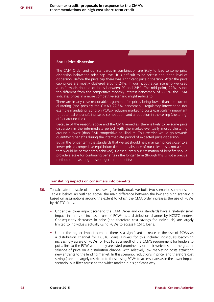#### **Box 1: Price dispersion**

The CMA Order and our standards in combination are likely to lead to some price dispersion below the price cap level. It is difficult to be certain about the level of dispersion. Before the price cap there was significant price dispersion. After the price cap prices are mostly clustered around 24%. In our hypothetical scenario we used a uniform distribution of loans between 20 and 24%. The mid-point, 22%, is not too different from the competitive monthly interest benchmark of 22.5% the CMA indicates prices in a more competitive scenario might reduce to.

There are in any case reasonable arguments for prices being lower than the current clustering (and possibly the CMA's 22.5% benchmark): regulatory intervention (for example mandating listing on PCWs) reducing marketing costs (particularly important for potential entrants), increased competition, and a reduction in the ceiling (clustering) effect around the cap.

Because of the reasons above and the CMA remedies, there is likely to be some price dispersion in the intermediate period, with the market eventually mostly clustering around a lower (than £24) competitive equilibrium. This exercise would go towards quantifying benefits during the intermediate period of expected price dispersion

But in the longer term the standards that we set should help maintain prices closer to a lower priced competitive equilibrium (i.e. in the absence of our rules this is not a state that would be permanently achieved). Consequently our estimation of benefits should provide a scale for continuing benefits in the longer term (though this is not a precise method of measuring these longer term benefits)

### **Translating impacts on consumers into benefits**

- **36.** To calculate the scale of the cost saving for individuals we built two scenarios summarised in Table 8 below. As outlined above, the main difference between the low and high scenario is based on assumptions around the extent to which the CMA order increases the use of PCWs by HCSTC firms.
	- **•** Under the lower impact scenario the CMA Order and our standards have a relatively small impact in terms of increased use of PCWs as a distribution channel by HCSTC lenders. Consequently decreases in price (and therefore cost savings for individuals) are largely limited to individuals actually using PCWs to access HCSTC loans.
	- **•** Under the higher impact scenario there is a significant increase in the use of PCWs as a distribution channel for HCSTC loans. Drivers for this include: individuals becoming increasingly aware of PCWs for HCSTC as a result of the CMA's requirement for lenders to put a link to the PCW where they are listed prominently on their websites and the greater salience of price on a distribution channel with relatively low marketing costs attracting new entrants to the lending market. In this scenario, reductions in price (and therefore cost savings) are not largely restricted to those using PCWs to access loans as in the lower impact scenario, but filter across to the wider market in a significant way.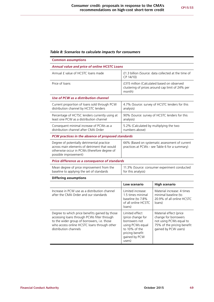#### *Table 8: Scenarios to calculate impacts for consumers*

to the wider group of borrowers, i.e. those who access online HCSTC loans through other

distribution channels

| <b>Common assumptions</b>                                                                                                                                           |                                                                                                          |                                                                                           |
|---------------------------------------------------------------------------------------------------------------------------------------------------------------------|----------------------------------------------------------------------------------------------------------|-------------------------------------------------------------------------------------------|
| <b>Annual value and price of online HCSTC Loans</b>                                                                                                                 |                                                                                                          |                                                                                           |
| Annual £ value of HCSTC loans made                                                                                                                                  | £1.3 billion (Source: data collected at the time of<br>CP 14/10)                                         |                                                                                           |
| Price of loans                                                                                                                                                      | £315 million (Calculated based on observed<br>clustering of prices around cap limit of 24% per<br>month) |                                                                                           |
| Use of PCW as a distribution channel                                                                                                                                |                                                                                                          |                                                                                           |
| Current proportion of loans sold through PCW<br>distribution channel by HCSTC lenders                                                                               | 4.7% (Source: survey of HCSTC lenders for this<br>analysis)                                              |                                                                                           |
| Percentage of HCTSC lenders currently using at<br>least one PCW as a distribution channel                                                                           | 90% (Source: survey of HCSTC lenders for this<br>analysis)                                               |                                                                                           |
| Consequent minimal increase of PCWs as a<br>distribution channel after CMA Order                                                                                    | 5.2% (Calculated by multiplying the two<br>numbers above)                                                |                                                                                           |
| PCW practices in the absence of proposed standards                                                                                                                  |                                                                                                          |                                                                                           |
| Degree of potentially detrimental practice<br>across main elements of detriment that would<br>otherwise occur in PCWs (therefore degree of<br>possible improvement) | 66% (Based on systematic assessment of current<br>practices at PCWs - see Table 6 for a summary)         |                                                                                           |
| Price difference as a consequence of standards                                                                                                                      |                                                                                                          |                                                                                           |
| Mean degree of price improvement from the<br>baseline to applying the set of standards                                                                              | 11.3% (Source: consumer experiment conducted<br>for this analysis)                                       |                                                                                           |
| <b>Differing assumptions</b>                                                                                                                                        |                                                                                                          |                                                                                           |
|                                                                                                                                                                     | Low scenario                                                                                             | <b>High scenario</b>                                                                      |
| Increase in PCW use as a distribution channel<br>after the CMA Order and our standards                                                                              | Limited increase:<br>1.5 times minimal<br>baseline (to 7.8%<br>of all online HCSTC<br>loans)             | Material increase: 4 times<br>minimal baseline (to<br>20.9% of all online HCSTC<br>loans) |
| Degree to which price benefits gained by those<br>accessing loans through PCWs filter through                                                                       | Limited effect<br>(price change for                                                                      | Material effect (price<br>change for borrowers                                            |

borrowers not using PCWs equal to 10% of the pricing benefit gained by PCW

users)

not using PCWs equal to 75% of the pricing benefit gained by PCW users)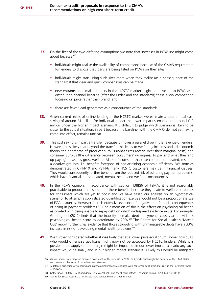- **37.** On the first of the two differing assumptions we note that increases in PCW use might come about because:<sup>66</sup>
	- individuals might realise the availability of comparisons because of the CMA's requirement for lenders to disclose that loans are being listed on PCWs on their sites
	- **•** individuals might start using such sites more when they realise (as a consequence of the standards) that clear and quick comparisons can be made
	- **•** new entrants and smaller lenders in the HCSTC market might be attracted to PCWs as a distribution channel because (after the Order and the standards) these allow competition focusing on price rather than brand, and
	- **•** there are fewer lead generators as a consequence of the standards
- **38.** Given current levels of online lending in the HCSTC market we estimate a total annual cost saving of around £4 million for individuals under the lower impact scenario, and around £19 million under the higher impact scenario. It is difficult to judge which scenario is likely to be closer to the actual situation, in part because the baseline, with the CMA Order not yet having come into effect, remains unclear.
- **39.** This cost saving is in part a transfer, because it implies a parallel drop in the revenue of lenders. However, it is likely that beyond the transfer this leads to welfare gains. In standard economic theory the aggregate of producer surplus (what firms receive over their marginal costs) and consumer surplus (the difference between consumers' willingness to pay and what they end up paying) measures gross welfare. Market failures, in this case competition related, result in a deadweight loss, i.e. benefits foregone of not attaining economic efficiency. We note as demonstrated in CP14/10 and PS14/6 many HCSTC customers may be in financial distress. They would consequently further benefit from the reduced risk of suffering payment problems, which have financial, stress-related, mental-health and welfare consequences.
- **40.** In the FCA's opinion, in accordance with section 138I(8) of FSMA, it is not reasonably practicable to produce an estimate of these benefits because they relate to welfare outcomes for consumers which are yet to occur and we have based our analysis on an hypothetical scenario. To attempt a sophisticated quantification exercise would not be a proportionate use of FCA resources. However there is extensive evidence of negative non-financial consequences of being in payment problems.67 One dimension of this is the effect on psychological health associated with being unable to repay debt on which widespread evidence exists. For example, Gathergood (2012) finds that the inability to make debt repayments causes an individual's psychological health score to deteriorate by 20%.<sup>68</sup> The Centre for Social Justice's 'Maxed Out' report further cites evidence that those struggling with unmanageable debts have a 33% increase in risk of developing mental health problems.<sup>69</sup>
- **41.** We further considered whether it was likely that at a lower price equilibrium, some individuals who would otherwise get loans might now not be accepted by HCSTC lenders. While it is possible that supply on the margin might be impacted, in our lower impact scenario any such impact would be small, and in our higher impact scenario it is likely this would be mitigated

<sup>66</sup> We are unable to distinguish between how much of the increase in PCW use by individuals might be because of the CMA Order, and how much because of our subsequent standards.

<sup>67</sup> A detailed discussion of wellbeing and psychological impacts associated with consumer debt difficulties is in in the Technical Annex of PS14/16

<sup>68</sup> Gathergood, J (2012), Debt and depression: causal links and social norm effects, Economic Journal, 122(563), 10941114

<sup>69</sup> Centre for Social Justice (2013), Maxed Out: Serious Personal Debt in Britain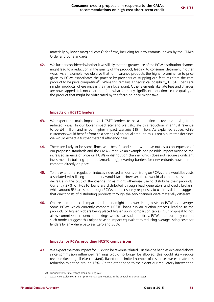materially by lower marginal costs<sup>70</sup> for firms, including for new entrants, driven by the CMA's Order and our standards.

**42.** We further considered whether it was likely that the greater use of the PCW distribution channel might lead to a reduction in the quality of the product, leading to consumer detriment in other ways. As an example, we observe that for insurance products the higher prominence to price given by PCWs exacerbates the practice by providers of stripping out features from the core product to be price competitive<sup>71</sup>. While this remains a theoretical possibility, HCSTC loans are simpler products where price is the main focal point. Other elements like late fees and charges are now capped. It is not clear therefore what form any significant reductions in the quality of the product that might be obfuscated by the focus on price might take.

#### **Impacts on HCSTC lenders**

- **43.** We expect the main impact for HCSTC lenders to be a reduction in revenue arising from reduced prices. In our lower impact scenario we calculate this reduction in annual revenue to be £4 million and in our higher impact scenario £19 million. As explained above, while customers would benefit from cost savings of an equal amount, this is not a pure transfer since we would expect a further material efficiency gain.
- **44.** There are likely to be some firms who benefit and some who lose out as a consequence of our proposed standards and the CMA Order. As an example one possible impact might be the increased salience of price on PCWs (a distribution channel which does not require significant investment in building up brands/marketing), lowering barriers for new entrants now able to compete directly on price.
- **45.** To the extent that regulation induces increased amounts of listing on PCWs there would be costs associated with listing that lenders would face. However, there would also be a consequent decrease in the cost of the channel firms might otherwise use to distribute their products. Currently 27% of HCSTC loans are distributed through lead generators and credit brokers, while around 5% are sold through PCWs. In their survey responses to us firms did not suggest that direct costs of distributing products through the two channels were materially different.
- **46.** One related beneficial impact for lenders might be lower listing costs on PCWs *on average*. Some PCWs which currently compare HCSTC loans run an auction process, leading to the products of higher bidders being placed higher up in comparison tables. Our proposal to not allow commission influenced rankings would ban such practices. PCWs that currently run on such models suggest this might have an impact equivalent to reducing average listing costs for lenders by anywhere between zero and 30%.

#### **Impacts for PCWs providing HCSTC comparisons**

**47.** We expect the main impact for PCWs to be revenue related. On the one hand as explained above since commission influenced rankings would no longer be allowed, this would likely reduce revenue (keeping all else constant). Based on a limited number of responses we estimate this reduction might be around 15%. On the other hand to the extent our regulatory intervention

<sup>70</sup> Principally lower marketing/ brand building costs

<sup>71</sup> [www.fca.org.uk/news/tr14-11-price-comparison-websites-in-the-general-insurance-sector](http://www.fca.org.uk/news/tr14-11-price-comparison-websites-in-the-general-insurance-sector)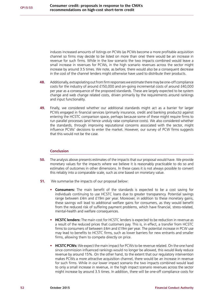induces increased amounts of listings on PCWs (as PCWs become a more profitable acquisition channel so firms may decide to be listed on more than one) there would be an increase in revenue for such firms. While in the low scenario the two impacts combined would leave a small increase in revenues for PCWs, in the high scenario revenues across the sector might increase by around 3.5 times. We note, as before, there would also be a consequent decrease in the cost of the channel lenders might otherwise have used to distribute their products.

- **48.** Additionally, extrapolating out from firm responses we estimate there may be one-off compliance costs for the industry of around £150,000 and on-going incremental costs of around £40,000 per year as a consequence of the proposed standards. These are largely expected to be system change and web change related costs, driven primarily by the requirements around rankings and input functionality.
- **49.** Finally, we considered whether our additional standards might act as a barrier for larger PCWs engaged in financial services (primarily insurance, credit and banking products) against entering the HCSTC comparison space, perhaps because some of these might require firms to run parallel processes (and hence unduly raise compliance costs). We also considered whether the standards, through improving reputational concerns associated with the sector, might influence PCWs' decisions to enter the market. However, our survey of PCW firms suggests that this would not be the case.

#### **Conclusion**

- **50.** The analysis above presents estimates of the impacts that our proposal would have. We provide monetary values for the impacts where we believe it is reasonably practicable to do so and estimates of outcomes in other dimensions. In these cases it is not always possible to convert this reliably into a comparable scale, such as one based on monetary value.
- **51.** We summarise the impacts of our proposal below:
	- **• Consumers:** The main benefit of the standards is expected to be a cost saving for individuals continuing to use HCSTC loans due to greater transparency. Potential savings range between £4m and £19m per year. Moreover, in addition to these monetary gains, these savings will lead to additional welfare gains for consumers, as they would benefit from the reduced risk of suffering payment problems, which have financial, stress-related, mental-health and welfare consequences.
	- **• HCSTC lenders:** The main cost for HCSTC lenders is expected to be reduction in revenue as a result of the reduced prices that customers pay. This is, in effect, a transfer from HCSTC firms to consumers of between £4m and £19m per year. The potential increase in PCW use may lead to benefits to HCSTC firms, such as lower barriers for new entrants and smaller firms, allowing them to compete directly on price.
	- **• HCSTC PCWs:** We expect the main impact for PCWs to be revenue related. On the one hand since commission influenced rankings would no longer be allowed, this would likely reduce revenue by around 15%. On the other hand, to the extent that our regulatory intervention makes PCWs a more attractive acquisition channel, there would be an increase in revenue for such firms. While in our lower impact scenario the two impacts combined would lead to only a small increase in revenue, in the high impact scenario revenues across the sector might increase by around 3.5 times. In addition, there will be one-off compliance costs for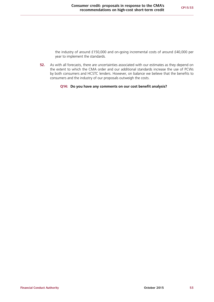the industry of around £150,000 and on-going incremental costs of around £40,000 per year to implement the standards.

**52.** As with all forecasts, there are uncertainties associated with our estimates as they depend on the extent to which the CMA order and our additional standards increase the use of PCWs by both consumers and HCSTC lenders. However, on balance we believe that the benefits to consumers and the industry of our proposals outweigh the costs.

#### **Q14: Do you have any comments on our cost benefit analysis?**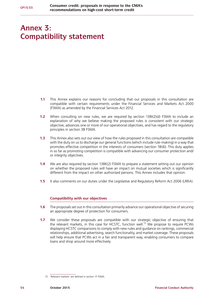# <span id="page-55-0"></span>**Annex 3: Compatibility statement**

- **1.1** This Annex explains our reasons for concluding that our proposals in this consultation are compatible with certain requirements under the Financial Services and Markets Act 2000 (FSMA) as amended by the Financial Services Act 2012.
- **1.2** When consulting on new rules, we are required by section 138I(2)(d) FSMA to include an explanation of why we believe making the proposed rules is consistent with our strategic objective, advances one or more of our operational objectives, and has regard to the regulatory principles in section 3B FSMA.
- **1.3** This Annex also sets out our view of how the rules proposed in this consultation are compatible with the duty on us to discharge our general functions (which include rule-making) in a way that promotes effective competition in the interests of consumers (section 1B(4)). This duty applies in so far as promoting competition is compatible with advancing our consumer protection and/ or integrity objectives.
- **1.4** We are also required by section 138K(2) FSMA to prepare a statement setting out our opinion on whether the proposed rules will have an impact on mutual societies which is significantly different from the impact on other authorised persons. This Annex includes that opinion.
- **1.5** It also comments on our duties under the Legislative and Regulatory Reform Act 2006 (LRRA).

### **Compatibility with our objectives**

- **1.6** The proposals set out in this consultation primarily advance our operational objective of securing an appropriate degree of protection for consumers.
- **1.7** We consider these proposals are compatible with our strategic objective of ensuring that the relevant markets, in this case for HCSTC, function well.72 We propose to require PCWs displaying HCSTC comparisons to comply with new rules and guidance on rankings, commercial relationships, additional advertising, search functionality, and market coverage. These proposals will help ensure that PCWs act in a fair and transparent way, enabling consumers to compare loans and shop around more effectively.

<sup>72</sup> 'Relevant markets' are defined in section 1F FSMA.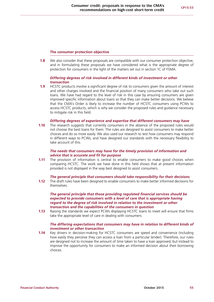#### **The consumer protection objective**

**1.8** We also consider that these proposals are compatible with our consumer protection objective, and in formulating these proposals we have considered what is the appropriate degree of protection for consumers in the light of the matters set out in section 1C of FSMA.

#### *Differing degrees of risk involved in different kinds of investment or other transaction*

**1.9** HCSTC products involve a significant degree of risk to consumers given the amount of interest and other charges involved and the financial position of many consumers who take out such loans. We have had regard to the level of risk in this case by ensuring consumers are given improved specific information about loans so that they can make better decisions. We believe that the CMA's Order is likely to increase the number of HCSTC consumers using PCWs to access HCSTC products, which is why we consider the proposed rules and guidance necessary to mitigate risk in this field.

#### *Differing degrees of experience and expertise that different consumers may have*

**1.10** The research suggests that currently consumers in the absence of the proposed rules would not choose the best loans for them. The rules are designed to assist consumers to make better choices and do so more easily. We also used our research to test how consumers may respond in different ways to PCWs, and have designed our standards with the necessary flexibility to take account of this.

#### *The needs that consumers may have for the timely provision of information and advice that is accurate and fit for purpose*

**1.11** The provision of information is central to enable consumers to make good choices when comparing HCSTC. The work we have done in this field shows that at present information provided is not displayed in the way best designed to assist consumers.

#### *The general principle that consumers should take responsibility for their decisions*

**1.12** The draft rules have been designed to enable consumers to make better informed decisions for themselves.

#### *The general principle that those providing regulated financial services should be expected to provide consumers with a level of care that is appropriate having regard to the degree of risk involved in relation to the investment or other transaction and the capabilities of the consumers in question*

**1.13** Raising the standards we expect PCWs displaying HCSTC loans to meet will ensure that firms take the appropriate level of care in dealing with consumers.

#### *The differing expectations that consumers may have in relation to different kinds of investment or other transaction*

**1.14** Key drivers in decision-making for HCSTC consumers are speed and convenience (including how easily they perceive they can access a loan from a particular lender). Therefore, our rules are designed not to increase the amount of time taken to have a loan approved, but instead to improve the opportunity for consumers to make an informed decision about their borrowing choices.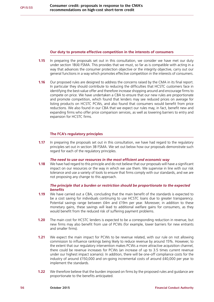#### **Our duty to promote effective competition in the interests of consumers**

- **1.15** In preparing the proposals set out in this consultation, we consider we have met our duty under section 1B(4) FSMA. This provides that we must, so far as is compatible with acting in a way that advances the consumer protection objective or the integrity objective, carry out our general functions in a way which promotes effective competition in the interests of consumers.
- **1.16** Our proposed rules are designed to address the concerns raised by the CMA in its final report. In particular they should contribute to reducing the difficulties that HCSTC customers face in identifying the best-value offer and therefore increase shopping around and encourage firms to compete on price. We have undertaken a CBA to ensure that our new rules are proportionate and promote competition, which found that lenders may see reduced prices on average for listing products on HCSTC PCWs, and also found that consumers would benefit from price reductions. We also found in our CBA that we expect our rules may, in fact, benefit new and expanding firms who offer price comparison services, as well as lowering barriers to entry and expansion for HCSTC firms.

#### **The FCA's regulatory principles**

**1.17** In preparing the proposals set out in this consultation, we have had regard to the regulatory principles set out in section 3B FSMA. We set out below how our proposals demonstrate such regard for each of the regulatory principles.

#### *The need to use our resources in the most efficient and economic way*

**1.18** We have had regard to this principle and do not believe that our proposals will have a significant impact on our resources or the way in which we use them. We supervise in line with our risk tolerance and use a variety of tools to ensure that firms comply with our standards, and we are not proposing any change to this approach.

#### *The principle that a burden or restriction should be proportionate to the expected benefits*

- **1.19** We have carried out a CBA, concluding that the main benefit of the standards is expected to be a cost saving for individuals continuing to use HCSTC loans due to greater transparency. Potential savings range between £4m and £19m per year. Moreover, in addition to these monetary gains, these savings will lead to additional welfare gains for consumers, as they would benefit from the reduced risk of suffering payment problems.
- **1.20** The main cost for HCSTC lenders is expected to be a corresponding reduction in revenue, but new firms may also benefit from use of PCWs (for example, lower barriers for new entrants and smaller firms).
- **1.21** We expect the main impact for PCWs to be revenue related, with our rule on not allowing commission to influence rankings being likely to reduce revenue by around 15%. However, to the extent that our regulatory intervention makes PCWs a more attractive acquisition channel, there could be revenue increases for PCWs (an increase of up to 3.5 times current revenue under our highest impact scenario). In addition, there will be one-off compliance costs for the industry of around £150,000 and on-going incremental costs of around £40,000 per year to implement the standards.
- **1.22** We therefore believe that the burden imposed on firms by the proposed rules and guidance are proportionate to the benefits anticipated.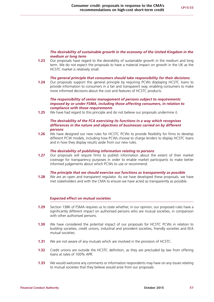#### *The desirability of sustainable growth in the economy of the United Kingdom in the medium or long term*

**1.23** Our proposals have regard to the desirability of sustainable growth in the medium and long term. We do not expect the proposals to have a material impact on growth in the UK as the HCSTC market is relatively small.

#### *The general principle that consumers should take responsibility for their decisions*

**1.24** Our proposals support this general principle by requiring PCWs displaying HCSTC loans to provide information to consumers in a fair and transparent way, enabling consumers to make more informed decisions about the cost and features of HCSTC products.

#### *The responsibility of senior management of persons subject to requirements imposed by or under FSMA, including those affecting consumers, in relation to compliance with those requirements*

**1.25** We have had regard to this principle and do not believe our proposals undermine it.

#### *The desirability of the FCA exercising its functions in a way which recognises differences in the nature and objectives of businesses carried on by different persons*

**1.26** We have designed our new rules for HCSTC PCWs to provide flexibility for firms to develop different PCW models, including how PCWs choose to charge lenders to display HCSTC loans and in how they display results aside from our new rules.

#### *The desirability of publishing information relating to persons*

**1.27** Our proposals will require firms to publish information about the extent of their market coverage for transparency purposes in order to enable market participants to make better informed judgements about which PCWs to use or recommend.

#### *The principle that we should exercise our functions as transparently as possible*

**1.28** We are an open and transparent regulator. As we have developed these proposals, we have met stakeholders and with the CMA to ensure we have acted as transparently as possible.

#### **Expected effect on mutual societies**

- **1.29** Section 138K of FSMA requires us to state whether, in our opinion, our proposed rules have a significantly different impact on authorised persons who are mutual societies, in comparison with other authorised persons.
- **1.30** We have considered the potential impact of our proposals for HCSTC PCWs in relation to building societies, credit unions, industrial and provident societies, friendly societies and EEA mutual societies.
- **1.31** We are not aware of any mutuals which are involved in the provision of HCSTC.
- **1.32** Credit unions are outside the HCSTC definition, as they are precluded by law from offering loans at rates of 100% APR.
- **1.33** We would welcome any comments or information respondents may have on any issues relating to mutual societies that they believe would arise from our proposals.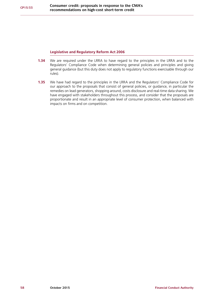### **Legislative and Regulatory Reform Act 2006**

- **1.34** We are required under the LRRA to have regard to the principles in the LRRA and to the Regulators' Compliance Code when determining general policies and principles and giving general guidance (but this duty does not apply to regulatory functions exercisable through our rules).
- **1.35** We have had regard to the principles in the LRRA and the Regulators' Compliance Code for our approach to the proposals that consist of general policies, or guidance, in particular the remedies on lead generators, shopping around, costs disclosure and real-time data sharing. We have engaged with stakeholders throughout this process, and consider that the proposals are proportionate and result in an appropriate level of consumer protection, when balanced with impacts on firms and on competition.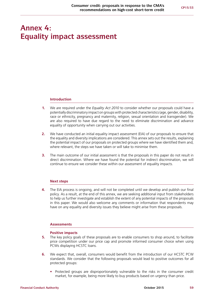# <span id="page-60-0"></span>**Annex 4: Equality impact assessment**

#### **Introduction**

- **1.** We are required under the *Equality Act 2010* to consider whether our proposals could have a potentially discriminatory impact on groups with protected characteristics (age, gender, disability, race or ethnicity, pregnancy and maternity, religion, sexual orientation and transgender). We are also required to have due regard to the need to eliminate discrimination and advance equality of opportunity when carrying out our activities.
- **2.** We have conducted an initial equality impact assessment (EIA) of our proposals to ensure that the equality and diversity implications are considered. This annex sets out the results, explaining the potential impact of our proposals on protected groups where we have identified them and, where relevant, the steps we have taken or will take to minimise them.
- **3.** The main outcome of our initial assessment is that the proposals in this paper do not result in direct discrimination. Where we have found the potential for indirect discrimination, we will continue to ensure we consider these within our assessment of equality impacts.

#### **Next steps**

**4.** The EIA process is ongoing, and will not be completed until we develop and publish our final policy. As a result, at the end of this annex, we are seeking additional input from stakeholders to help us further investigate and establish the extent of any potential impacts of the proposals in this paper. We would also welcome any comments or information that respondents may have on any equality and diversity issues they believe might arise from these proposals.

#### **Assessments**

#### **Positive impacts**

- **5.** The key policy goals of these proposals are to enable consumers to shop around, to facilitate price competition under our price cap and promote informed consumer choice when using PCWs displaying HCSTC loans.
- **6.** We expect that, overall, consumers would benefit from the introduction of our HCSTC PCW standards. We consider that the following proposals would lead to positive outcomes for all protected groups:
	- **•** Protected groups are disproportionately vulnerable to the risks in the consumer credit market, for example, being more likely to buy products based on urgency than price.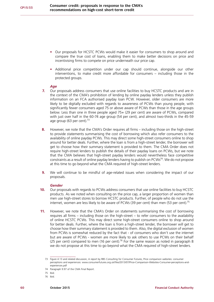- **•** Our proposals for HCSTC PCWs would make it easier for consumers to shop around and compare the true cost of loans, enabling them to make better decisions on price and incentivising firms to compete on price underneath our price cap.
- **•** Additional price competition under our cap should continue, alongside our other interventions, to make credit more affordable for consumers – including those in the protected groups.

#### *Age*

- **7.** Our proposals address consumers that use online facilities to buy HCSTC products and are in the context of the CMA's prohibition of lending by online payday lenders unless they publish information on an FCA authorised payday loan PCW. However, older consumers are more likely to be digitally excluded with regards to awareness of PCWs than young people, with significantly fewer consumers aged 75 or above aware of PCWs than those in the age groups below. Less than one in three people aged 75+ (29 per cent) are aware of PCWs, compared with just over half in the 60-74 age group (54 per cent), and almost two-thirds in the 45-59 age group (63 per cent).<sup>73</sup>
- **8.** However, we note that the CMA's Order requires all firms including those on the high-street to provide statements summarising the cost of borrowing which also refer consumers to the availability of online payday PCWs. This may direct some high-street consumers online to shop around for better deals. Further, where the loan is from a high-street lender, the borrower will get to choose how their summary statement is provided to them. The CMA Order does not require high-street lenders to publish the details of their payday loans on PCWs, but we note that the CMA believes that high-street payday lenders would nevertheless face competitive constraints as a result of online payday lenders having to publish on PCWs74. We do not propose at this time to go beyond what the CMA required of high-street lenders.
- **9.** We will continue to be mindful of age-related issues when considering the impact of our proposals.

#### *Gender*

- **10.** Our proposals with regards to PCWs address consumers that use online facilities to buy HCSTC products. As we noted when consulting on the price cap, a larger proportion of women than men use high-street stores to borrow HCSTC products. Further, of people who do not use the internet, women are less likely to be aware of PCWs (39 per cent) than men (53 per cent).<sup>75</sup>
- **11.** However, we note that the CMA's Order on statements summarising the cost of borrowing requires all firms – including those on the high-street – to refer consumers to the availability of online HCSTC PCWs. This may direct some high-street consumers online to shop around for better deals. Further, where the loan is from a high-street lender, the borrower will get to choose how their summary statement is provided to them. Also, the digital exclusion of women from PCWs is somewhat reduced by the fact that - of consumers who don't use the internet but are aware of PCWs - women are more likely to ask others to use PCWs on their behalf (25 per cent) compared to men (16 per cent).<sup>76</sup> For the same reason as noted in paragraph 8 we do not propose at this time to go beyond what the CMA required of high-street lenders.

<sup>73</sup> Figure 4.13 and related discussion, A report by RBS Consulting for Consumer Futures, Price comparison websites: consumer perceptions and experiences: [www.consumerfutures.org.uk/files/2013/07/Price-Comparison-Websites-Consumer-perceptions-and](http://www.consumerfutures.org.uk/files/2013/07/Price-Comparison-Websites-Consumer-perceptions-and-experiences.pdf)[experiences.pdf](http://www.consumerfutures.org.uk/files/2013/07/Price-Comparison-Websites-Consumer-perceptions-and-experiences.pdf)

<sup>74</sup> Paragraph 9.97 of the CMA Final Report.

<sup>75</sup> Ibid.

<sup>76</sup> Ibid.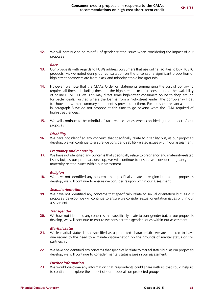**12.** We will continue to be mindful of gender-related issues when considering the impact of our proposals.

#### *Race*

- **13.** Our proposals with regards to PCWs address consumers that use online facilities to buy HCSTC products. As we noted during our consultation on the price cap, a significant proportion of high-street borrowers are from black and minority ethnic backgrounds.
- **14.** However, we note that the CMA's Order on statements summarising the cost of borrowing requires all firms – including those on the high-street – to refer consumers to the availability of online HCSTC PCWs. This may direct some high-street consumers online to shop around for better deals. Further, where the loan is from a high-street lender, the borrower will get to choose how their summary statement is provided to them. For the same reason as noted in paragraph 8 we do not propose at this time to go beyond what the CMA required of high-street lenders.
- **15.** We will continue to be mindful of race-related issues when considering the impact of our proposals.

#### *Disability*

**16.** We have not identified any concerns that specifically relate to disability but, as our proposals develop, we will continue to ensure we consider disability-related issues within our assessment.

#### *Pregnancy and maternity*

**17.** We have not identified any concerns that specifically relate to pregnancy and maternity-related issues but, as our proposals develop, we will continue to ensure we consider pregnancy and maternity-related issues within our assessment.

#### *Religion*

**18.** We have not identified any concerns that specifically relate to religion but, as our proposals develop, we will continue to ensure we consider religion within our assessment.

#### *Sexual orientation*

**19.** We have not identified any concerns that specifically relate to sexual orientation but, as our proposals develop, we will continue to ensure we consider sexual orientation issues within our assessment.

#### *Transgender*

**20.** We have not identified any concerns that specifically relate to transgender but, as our proposals develop, we will continue to ensure we consider transgender issues within our assessment.

#### *Marital status*

- **21.** While marital status is not specified as a protected characteristic, we are required to have due regard to the need to eliminate discrimination on the grounds of marital status or civil partnership.
- **22.** We have not identified any concerns that specifically relate to marital status but, as our proposals develop, we will continue to consider marital status issues in our assessment.

#### *Further information*

**23.** We would welcome any information that respondents could share with us that could help us to continue to explore the impact of our proposals on protected groups.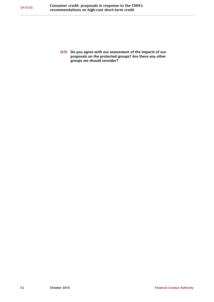**Q15: Do you agree with our assessment of the impacts of our proposals on the protected groups? Are there any other groups we should consider?**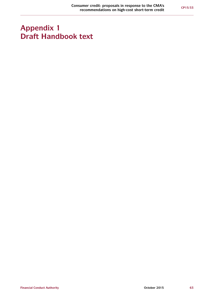# <span id="page-64-0"></span>**Appendix 1 Draft Handbook text**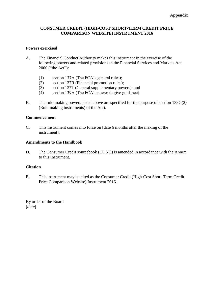### **CONSUMER CREDIT (HIGH-COST SHORT-TERM CREDIT PRICE COMPARISON WEBSITE) INSTRUMENT 2016**

### **Powers exercised**

- A. The Financial Conduct Authority makes this instrument in the exercise of the following powers and related provisions in the Financial Services and Markets Act 2000 ("the Act"):
	- (1) section 137A (The FCA's general rules);
	- (2) section 137R (Financial promotion rules);
	- (3) section 137T (General supplementary powers); and
	- (4) section 139A (The FCA's power to give guidance).
- B. The rule-making powers listed above are specified for the purpose of section 138G(2) (Rule-making instruments) of the Act).

### **Commencement**

C. This instrument comes into force on [date 6 months after the making of the instrument].

### **Amendments to the Handbook**

D. The Consumer Credit sourcebook (CONC) is amended in accordance with the Annex to this instrument.

### **Citation**

E. This instrument may be cited as the Consumer Credit (High-Cost Short-Term Credit Price Comparison Website) Instrument 2016.

By order of the Board [*date*]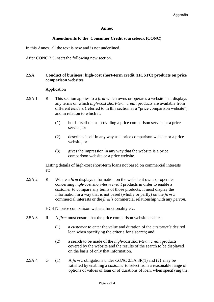### **Annex**

### **Amendments to the Consumer Credit sourcebook (CONC)**

In this Annex, all the text is new and is not underlined.

After CONC 2.5 insert the following new section.

### **2.5A Conduct of business: high-cost short-term credit (HCSTC) products on price comparison websites**

### Application

- 2.5A.1 R This section applies to a *firm* which owns or operates a website that displays any terms on which *high-cost short-term credit* products are available from different *lenders* (referred to in this section as a "price comparison website") and in relation to which it:
	- (1) holds itself out as providing a price comparison service or a price service; or
	- (2) describes itself in any way as a price comparison website or a price website; or
	- (3) gives the impression in any way that the website is a price comparison website or a price website.

Listing details of high-cost short-term loans not based on commercial interests etc.

2.5A.2 R Where a *firm* displays information on the website it owns or operates concerning *high-cost short-term credit* products in order to enable a *customer* to compare any terms of those products, it must display the information in a way that is not based (wholly or partly) on the *firm's* commercial interests or the *firm's* commercial relationship with any *person*.

HCSTC price comparison website functionality etc.

- 2.5A.3 R A *firm* must ensure that the price comparison website enables:
	- (1) a *customer* to enter the value and duration of the *customer's* desired loan when specifying the criteria for a search; and
	- (2) a search to be made of the *high-cost short-term credit* products covered by the website and the results of the search to be displayed on the basis of only that information.
- 2.5A.4 G (1) A *firm's* obligations under *CONC* 2.5A.3R(1) and (2) may be satisfied by enabling a *customer* to select from a reasonable range of options of values of loan or of durations of loan, when specifying the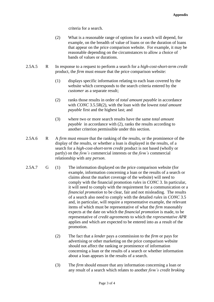criteria for a search.

- (2) What is a reasonable range of options for a search will depend, for example, on the breadth of value of loans or on the duration of loans that appear on the price comparison website. For example, it may be reasonable depending on the circumstances to allow a choice of bands of values or durations.
- 2.5A.5 R In response to a request to perform a search for a *high-cost-short-term credit* product, the *firm* must ensure that the price comparison website:
	- (1) displays specific information relating to each loan covered by the website which corresponds to the search criteria entered by the *customer* as a separate result;
	- (2) ranks those results in order of *total amount payable* in accordance with *CONC* 3.5.5R(2), with the loan with the lowest *total amount payable* first and the highest last; and
	- (3) where two or more search results have the same *total amount payable* in accordance with (2), ranks the results according to another criterion permissible under this section.
- 2.5A.6 R A *firm* must ensure that the ranking of the results, or the prominence of the display of the results, or whether a loan is displayed in the results, of a search for a *high-cost-short-term credit* product is not based (wholly or partly) on the *firm's* commercial interests or the *firm's* commercial relationship with any *person*.
- 2.5A.7 G (1) The information displayed on the price comparison website (for example, information concerning a loan or the results of a search or claims about the market coverage of the website) will need to comply with the financial promotion *rules* in *CONC* 3. In particular, it will need to comply with the requirement for a communication or a *financial promotion* to be clear, fair and not misleading. The results of a search also need to comply with the detailed *rules* in *CONC* 3.5 and, in particular, will require a representative example, the relevant items of which must be representative of what the *firm* reasonably expects at the date on which the *financial promotion* is made, to be representative of *credit agreements* to which the *representative APR* applies and which are expected to be entered into as a result of the promotion.
	- (2) The fact that a *lender* pays a commission to the *firm* or pays for advertising or other marketing on the price comparison website should not affect the ranking or prominence of information concerning a loan or the results of a search or whether information about a loan appears in the results of a search.
	- (3) The *firm* should ensure that any information concerning a loan or any result of a search which relates to another *firm's credit broking*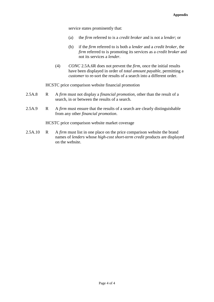service states prominently that:

- (a) the *firm* referred to is a *credit broker* and is not a *lender*; or
- (b) if the *firm* referred to is both a *lender* and a *credit broker*, the *firm* referred to is promoting its services as a *credit broker* and not its services a *lender*.
- (4) *CONC* 2.5A.6R does not prevent the *firm,* once the initial results have been displayed in order of *total amount payable*, permitting a *customer* to re-sort the results of a search into a different order.

HCSTC price comparison website financial promotion

- 2.5A.8 R A *firm* must not display a *financial promotion*, other than the result of a search, in or between the results of a search.
- 2.5A.9 R A *firm* must ensure that the results of a search are clearly distinguishable from any other *financial promotion*.

HCSTC price comparison website market coverage

2.5A.10 R A *firm* must list in one place on the price comparison website the brand names of *lenders* whose *high-cost short-term credit* products are displayed on the website.